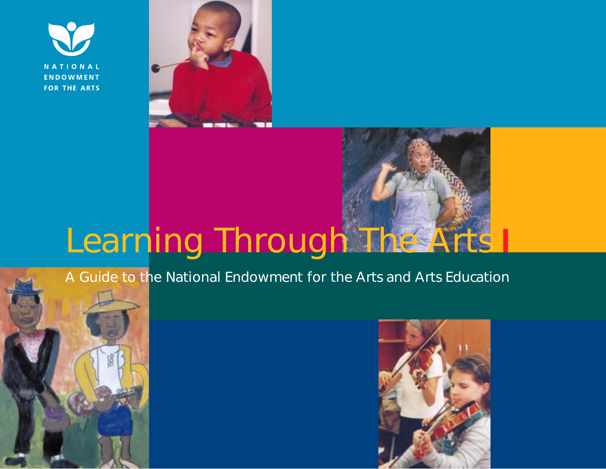**NATIONAL ENDOWMENT FOR THE ARTS** 



# Learning Through The Arts **I**

# A Guide to the National Endowment for the Arts and Arts Education



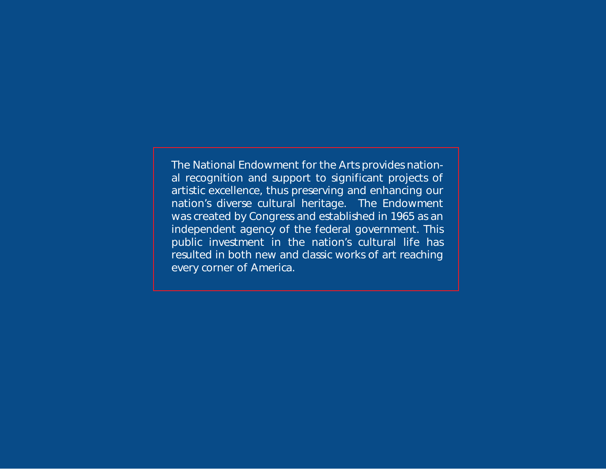The National Endowment for the Arts provides national recognition and support to significant projects of artistic excellence, thus preserving and enhancing our nation's diverse cultural heritage. The Endowment was created by Congress and established in 1965 as an independent agency of the federal government. This public investment in the nation's cultural life has resulted in both new and classic works of art reaching every corner of America.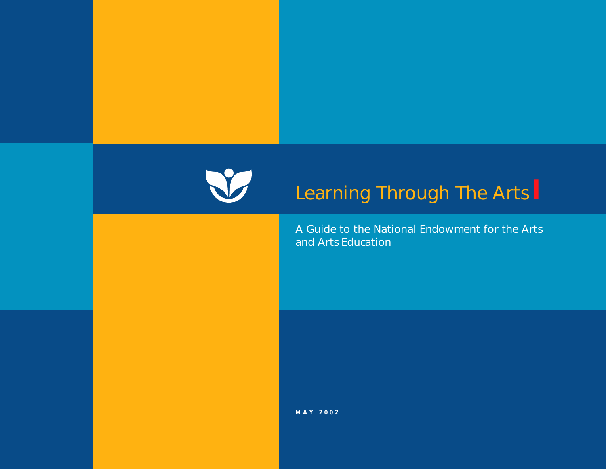

# Learning Through The Arts **I**

A Guide to the National Endowment for the Arts and Arts Education

**M A Y 2 0 0 2**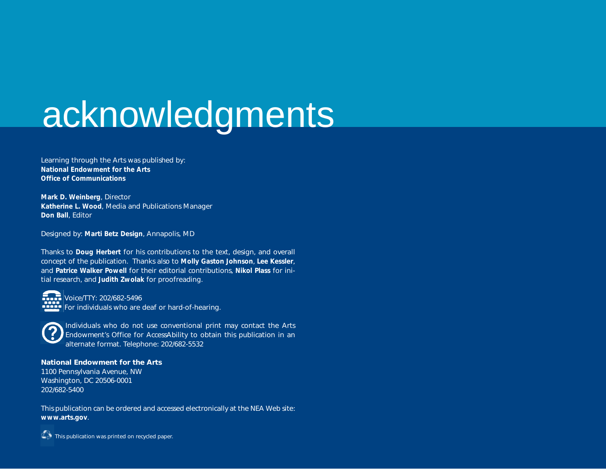# acknowledgments

Learning through the Arts was published by: **National Endowment for the Arts Office of Communications**

**Mark D. Weinberg**, Director **Katherine L. Wood**, Media and Publications Manager **Don Ball**, Editor

Designed by: **Marti Betz Design**, Annapolis, MD

Thanks to **Doug Herbert** for his contributions to the text, design, and overall concept of the publication. Thanks also to **Molly Gaston Johnson**, **Lee Kessler**, and **Patrice Walker Powell** for their editorial contributions, **Nikol Plass** for initial research, and **Judith Zwolak** for proofreading.



**T** Voice/TTY: 202/682-5496 **FORE FOR INDIVIDUALS** who are deaf or hard-of-hearing.



Individuals who do not use conventional print may contact the Arts Endowment's Office for AccessAbility to obtain this publication in an alternate format. Telephone: 202/682-5532

# **National Endowment for the Arts**

1100 Pennsylvania Avenue, NW Washington, DC 20506-0001 202/682-5400

This publication can be ordered and accessed electronically at the NEA Web site: **www.arts.gov**.

This publication was printed on recycled paper.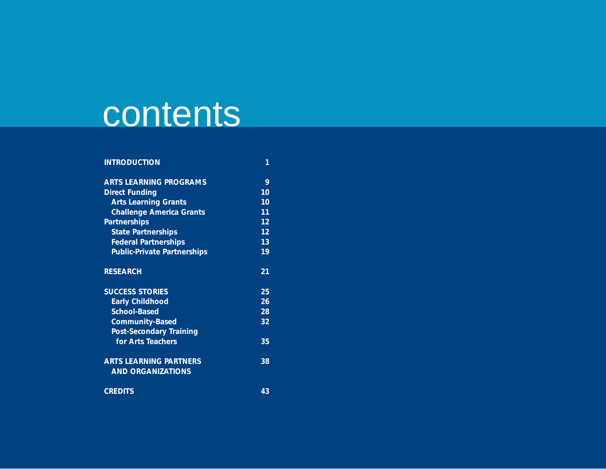# **contents**

| <b>INTRODUCTION</b>                | 1  |
|------------------------------------|----|
| <b>ARTS LEARNING PROGRAMS</b>      | 9  |
| <b>Direct Funding</b>              | 10 |
| <b>Arts Learning Grants</b>        | 10 |
| <b>Challenge America Grants</b>    | 11 |
| <b>Partnerships</b>                | 12 |
| <b>State Partnerships</b>          | 12 |
| <b>Federal Partnerships</b>        | 13 |
| <b>Public-Private Partnerships</b> | 19 |
| <b>RESEARCH</b>                    | 21 |
| <b>SUCCESS STORIES</b>             | 25 |
| <b>Early Childhood</b>             | 26 |
| <b>School-Based</b>                | 28 |
| <b>Community-Based</b>             | 32 |
| <b>Post-Secondary Training</b>     |    |
| for Arts Teachers                  | 35 |
| <b>ARTS LEARNING PARTNERS</b>      | 38 |
| <b>AND ORGANIZATIONS</b>           |    |
| <b>CREDITS</b>                     | 43 |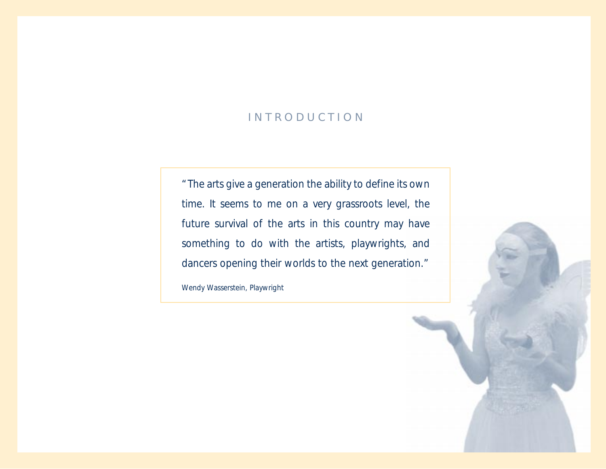# IN TRODUCTION

"The arts give a generation the ability to define its own time. It seems to me on a very grassroots level, the future survival of the arts in this country may have something to do with the artists, playwrights, and dancers opening their worlds to the next generation."

Wendy Wasserstein, Playwright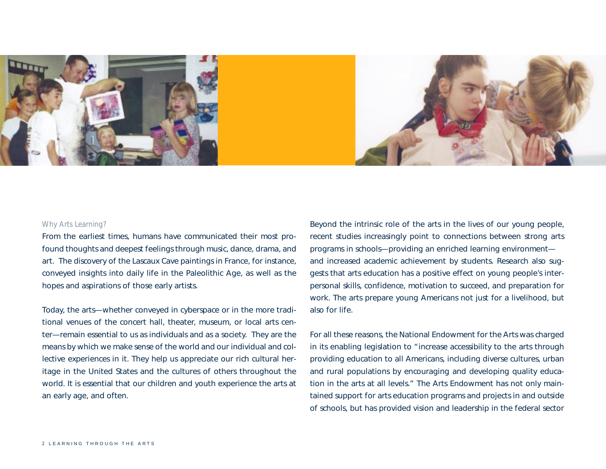

# Why Arts Learning?

From the earliest times, humans have communicated their most profound thoughts and deepest feelings through music, dance, drama, and art. The discovery of the Lascaux Cave paintings in France, for instance, conveyed insights into daily life in the Paleolithic Age, as well as the hopes and aspirations of those early artists.

Today, the arts—whether conveyed in cyberspace or in the more traditional venues of the concert hall, theater, museum, or local arts center—remain essential to us as individuals and as a society. They are the means by which we make sense of the world and our individual and collective experiences in it. They help us appreciate our rich cultural heritage in the United States and the cultures of others throughout the world. It is essential that our children and youth experience the arts at an early age, and often.

Beyond the intrinsic role of the arts in the lives of our young people, recent studies increasingly point to connections between strong arts programs in schools—providing an enriched learning environment and increased academic achievement by students. Research also suggests that arts education has a positive effect on young people's interpersonal skills, confidence, motivation to succeed, and preparation for work. The arts prepare young Americans not just for a livelihood, but also for life.

For all these reasons, the National Endowment for the Arts was charged in its enabling legislation to "increase accessibility to the arts through providing education to all Americans, including diverse cultures, urban and rural populations by encouraging and developing quality education in the arts at all levels." The Arts Endowment has not only maintained support for arts education programs and projects in and outside of schools, but has provided vision and leadership in the federal sector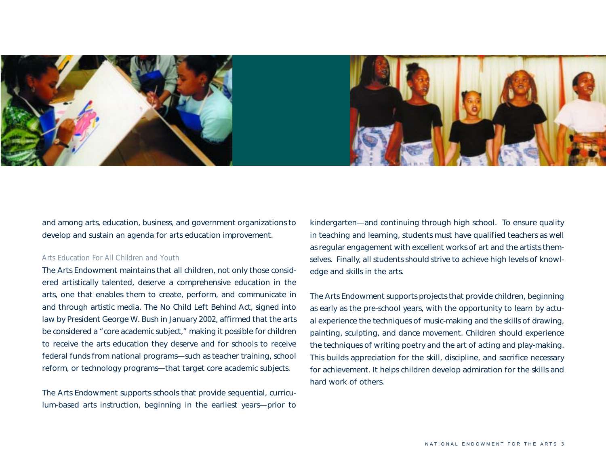

and among arts, education, business, and government organizations to develop and sustain an agenda for arts education improvement.

### Arts Education For All Children and Youth

The Arts Endowment maintains that all children, not only those considered artistically talented, deserve a comprehensive education in the arts, one that enables them to create, perform, and communicate in and through artistic media. The *No Child Left Behind Act,* signed into law by President George W. Bush in January 2002, affirmed that the arts be considered a "core academic subject," making it possible for children to receive the arts education they deserve and for schools to receive federal funds from national programs—such as teacher training, school reform, or technology programs—that target core academic subjects.

The Arts Endowment supports schools that provide sequential, curriculum-based arts instruction, beginning in the earliest years—prior to kindergarten—and continuing through high school. To ensure quality in teaching and learning, students must have qualified teachers as well as regular engagement with excellent works of art and the artists themselves. Finally, all students should strive to achieve high levels of knowledge and skills in the arts.

The Arts Endowment supports projects that provide children, beginning as early as the pre-school years, with the opportunity to learn by actual experience the techniques of music-making and the skills of drawing, painting, sculpting, and dance movement. Children should experience the techniques of writing poetry and the art of acting and play-making. This builds appreciation for the skill, discipline, and sacrifice necessary for achievement. It helps children develop admiration for the skills and hard work of others.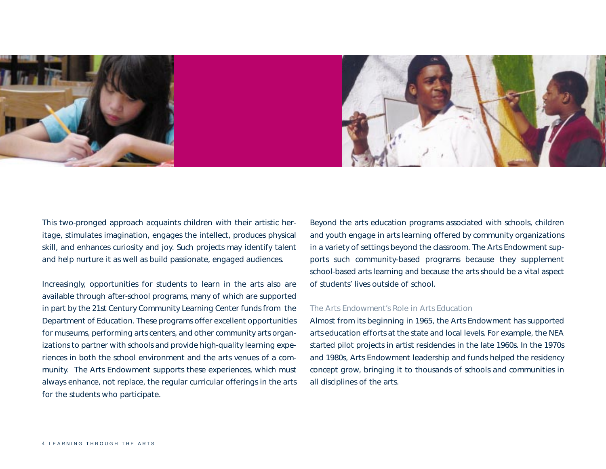

This two-pronged approach acquaints children with their artistic heritage, stimulates imagination, engages the intellect, produces physical skill, and enhances curiosity and joy. Such projects may identify talent and help nurture it as well as build passionate, engaged audiences.

Increasingly, opportunities for students to learn in the arts also are available through after-school programs, many of which are supported in part by the 21st Century Community Learning Center funds from the Department of Education. These programs offer excellent opportunities for museums, performing arts centers, and other community arts organizations to partner with schools and provide high-quality learning experiences in both the school environment and the arts venues of a community. The Arts Endowment supports these experiences, which must always enhance, not replace, the regular curricular offerings in the arts for the students who participate.

Beyond the arts education programs associated with schools, children and youth engage in arts learning offered by community organizations in a variety of settings beyond the classroom. The Arts Endowment supports such community-based programs because they supplement school-based arts learning and because the arts should be a vital aspect of students' lives outside of school.

# The Arts Endowment's Role in Arts Education

Almost from its beginning in 1965, the Arts Endowment has supported arts education efforts at the state and local levels. For example, the NEA started pilot projects in artist residencies in the late 1960s. In the 1970s and 1980s, Arts Endowment leadership and funds helped the residency concept grow, bringing it to thousands of schools and communities in all disciplines of the arts.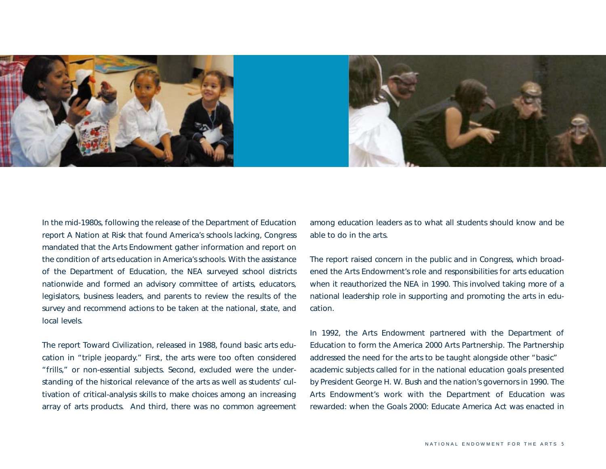

In the mid-1980s, following the release of the Department of Education report *A Nation at Risk* that found America's schools lacking, Congress mandated that the Arts Endowment gather information and report on the condition of arts education in America's schools. With the assistance of the Department of Education, the NEA surveyed school districts nationwide and formed an advisory committee of artists, educators, legislators, business leaders, and parents to review the results of the survey and recommend actions to be taken at the national, state, and local levels.

The report *Toward Civilization*, released in 1988, found basic arts education in "triple jeopardy." First, the arts were too often considered "frills," or non-essential subjects. Second, excluded were the understanding of the historical relevance of the arts as well as students' cultivation of critical-analysis skills to make choices among an increasing array of arts products. And third, there was no common agreement among education leaders as to what all students should know and be able to do in the arts.

The report raised concern in the public and in Congress, which broadened the Arts Endowment's role and responsibilities for arts education when it reauthorized the NEA in 1990. This involved taking more of a national leadership role in supporting and promoting the arts in education.

In 1992, the Arts Endowment partnered with the Department of Education to form the America 2000 Arts Partnership. The Partnership addressed the need for the arts to be taught alongside other "basic" academic subjects called for in the national education goals presented by President George H. W. Bush and the nation's governors in 1990. The Arts Endowment's work with the Department of Education was rewarded: when the *Goals 2000: Educate America Act* was enacted in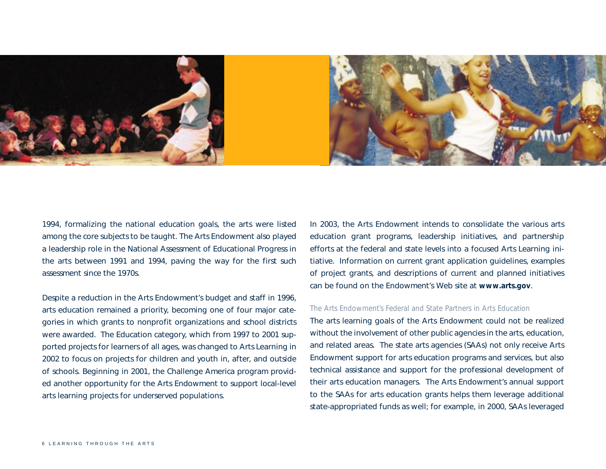

1994, formalizing the national education goals, the arts were listed among the core subjects to be taught. The Arts Endowment also played a leadership role in the National Assessment of Educational Progress in the arts between 1991 and 1994, paving the way for the first such assessment since the 1970s.

Despite a reduction in the Arts Endowment's budget and staff in 1996, arts education remained a priority, becoming one of four major categories in which grants to nonprofit organizations and school districts were awarded. The Education category, which from 1997 to 2001 supported projects for learners of all ages, was changed to Arts Learning in 2002 to focus on projects for children and youth in, after, and outside of schools. Beginning in 2001, the Challenge America program provided another opportunity for the Arts Endowment to support local-level arts learning projects for underserved populations.

In 2003, the Arts Endowment intends to consolidate the various arts education grant programs, leadership initiatives, and partnership efforts at the federal and state levels into a focused Arts Learning initiative. Information on current grant application guidelines, examples of project grants, and descriptions of current and planned initiatives can be found on the Endowment's Web site at **www.arts.gov**.

# The Arts Endowment's Federal and State Partners in Arts Education

The arts learning goals of the Arts Endowment could not be realized without the involvement of other public agencies in the arts, education, and related areas. The state arts agencies (SAAs) not only receive Arts Endowment support for arts education programs and services, but also technical assistance and support for the professional development of their arts education managers. The Arts Endowment's annual support to the SAAs for arts education grants helps them leverage additional state-appropriated funds as well; for example, in 2000, SAAs leveraged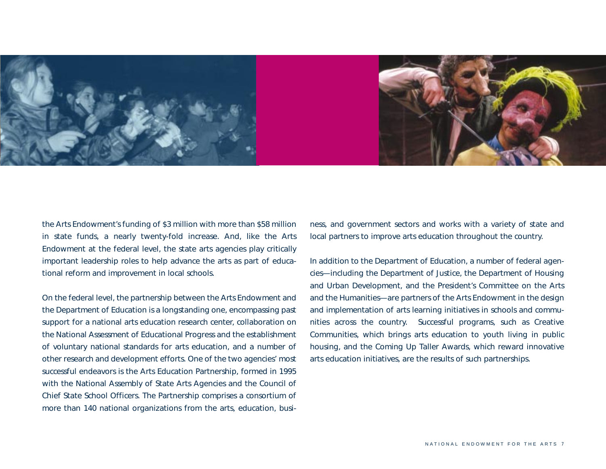

the Arts Endowment's funding of \$3 million with more than \$58 million in state funds, a nearly twenty-fold increase. And, like the Arts Endowment at the federal level, the state arts agencies play critically important leadership roles to help advance the arts as part of educational reform and improvement in local schools.

On the federal level, the partnership between the Arts Endowment and the Department of Education is a longstanding one, encompassing past support for a national arts education research center, collaboration on the National Assessment of Educational Progress and the establishment of voluntary national standards for arts education, and a number of other research and development efforts. One of the two agencies' most successful endeavors is the Arts Education Partnership, formed in 1995 with the National Assembly of State Arts Agencies and the Council of Chief State School Officers. The Partnership comprises a consortium of more than 140 national organizations from the arts, education, business, and government sectors and works with a variety of state and local partners to improve arts education throughout the country.

In addition to the Department of Education, a number of federal agencies—including the Department of Justice, the Department of Housing and Urban Development, and the President's Committee on the Arts and the Humanities—are partners of the Arts Endowment in the design and implementation of arts learning initiatives in schools and communities across the country. Successful programs, such as Creative Communities, which brings arts education to youth living in public housing, and the Coming Up Taller Awards, which reward innovative arts education initiatives, are the results of such partnerships.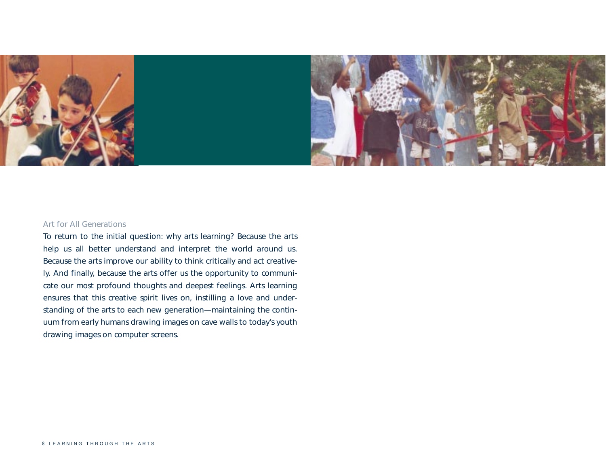

# Art for All Generations

To return to the initial question: why arts learning? Because the arts help us all better understand and interpret the world around us. Because the arts improve our ability to think critically and act creatively. And finally, because the arts offer us the opportunity to communicate our most profound thoughts and deepest feelings. Arts learning ensures that this creative spirit lives on, instilling a love and understanding of the arts to each new generation—maintaining the continuum from early humans drawing images on cave walls to today's youth drawing images on computer screens.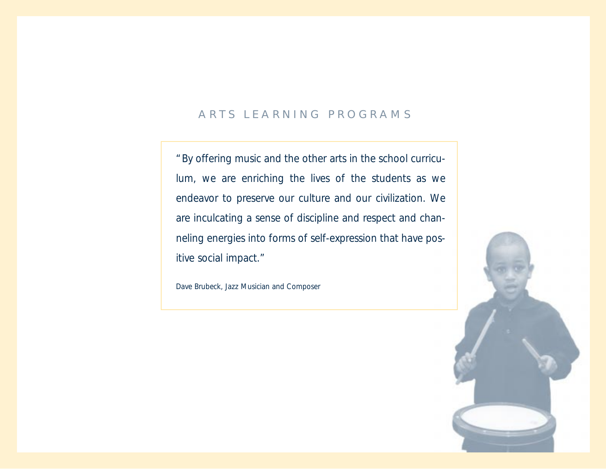# ARTS LEARNING PROGRAMS

"By offering music and the other arts in the school curriculum, we are enriching the lives of the students as we endeavor to preserve our culture and our civilization. We are inculcating a sense of discipline and respect and channeling energies into forms of self-expression that have positive social impact."

Dave Brubeck, Jazz Musician and Composer

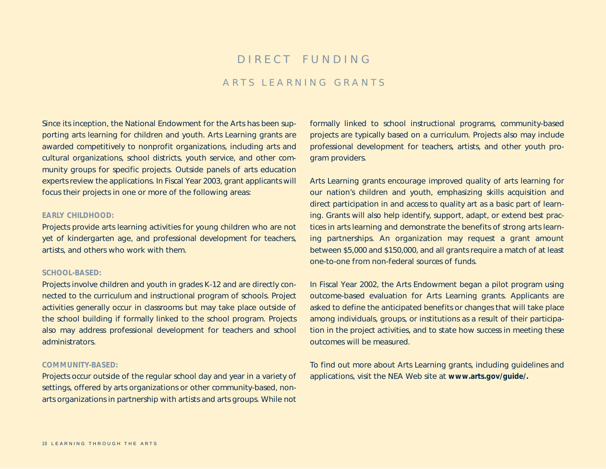# D I R E C T F U N D I N G

# ARTS LEARNING GRANTS

Since its inception, the National Endowment for the Arts has been supporting arts learning for children and youth. Arts Learning grants are awarded competitively to nonprofit organizations, including arts and cultural organizations, school districts, youth service, and other community groups for specific projects. Outside panels of arts education experts review the applications. In Fiscal Year 2003, grant applicants will focus their projects in one or more of the following areas:

# **EARLY CHILDHOOD:**

Projects provide arts learning activities for young children who are not yet of kindergarten age, and professional development for teachers, artists, and others who work with them.

# **SCHOOL-BASED:**

Projects involve children and youth in grades K-12 and are directly connected to the curriculum and instructional program of schools. Project activities generally occur in classrooms but may take place outside of the school building if formally linked to the school program. Projects also may address professional development for teachers and school administrators.

# **COMMUNITY-BASED:**

Projects occur outside of the regular school day and year in a variety of settings, offered by arts organizations or other community-based, nonarts organizations in partnership with artists and arts groups. While not formally linked to school instructional programs, community-based projects are typically based on a curriculum. Projects also may include professional development for teachers, artists, and other youth program providers.

Arts Learning grants encourage improved quality of arts learning for our nation's children and youth, emphasizing skills acquisition and direct participation in and access to quality art as a basic part of learning. Grants will also help identify, support, adapt, or extend best practices in arts learning and demonstrate the benefits of strong arts learning partnerships. An organization may request a grant amount between \$5,000 and \$150,000, and all grants require a match of at least one-to-one from non-federal sources of funds.

In Fiscal Year 2002, the Arts Endowment began a pilot program using outcome-based evaluation for Arts Learning grants. Applicants are asked to define the anticipated benefits or changes that will take place among individuals, groups, or institutions as a result of their participation in the project activities, and to state how success in meeting these outcomes will be measured.

To find out more about Arts Learning grants, including guidelines and applications, visit the NEA Web site at **www.arts.gov/guide/.**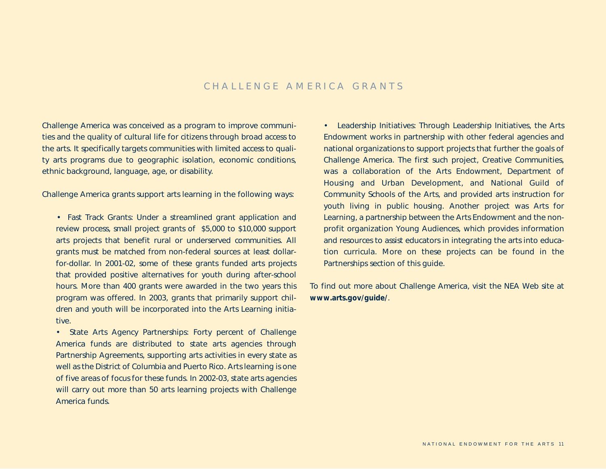# C H A L L E N G E A M E R I C A G R A N T S

Challenge America was conceived as a program to improve communities and the quality of cultural life for citizens through broad access to the arts. It specifically targets communities with limited access to quality arts programs due to geographic isolation, economic conditions, ethnic background, language, age, or disability.

Challenge America grants support arts learning in the following ways:

• Fast Track Grants: Under a streamlined grant application and review process, small project grants of \$5,000 to \$10,000 support arts projects that benefit rural or underserved communities. All grants must be matched from non-federal sources at least dollarfor-dollar. In 2001-02, some of these grants funded arts projects that provided positive alternatives for youth during after-school hours. More than 400 grants were awarded in the two years this program was offered. In 2003, grants that primarily support children and youth will be incorporated into the Arts Learning initiative.

• State Arts Agency Partnerships: Forty percent of Challenge America funds are distributed to state arts agencies through Partnership Agreements, supporting arts activities in every state as well as the District of Columbia and Puerto Rico. Arts learning is one of five areas of focus for these funds. In 2002-03, state arts agencies will carry out more than 50 arts learning projects with Challenge America funds.

• Leadership Initiatives: Through Leadership Initiatives, the Arts Endowment works in partnership with other federal agencies and national organizations to support projects that further the goals of Challenge America. The first such project, Creative Communities, was a collaboration of the Arts Endowment, Department of Housing and Urban Development, and National Guild of Community Schools of the Arts, and provided arts instruction for youth living in public housing. Another project was Arts for Learning, a partnership between the Arts Endowment and the nonprofit organization Young Audiences, which provides information and resources to assist educators in integrating the arts into education curricula. More on these projects can be found in the Partnerships section of this guide.

To find out more about Challenge America, visit the NEA Web site at **www.arts.gov/guide/**.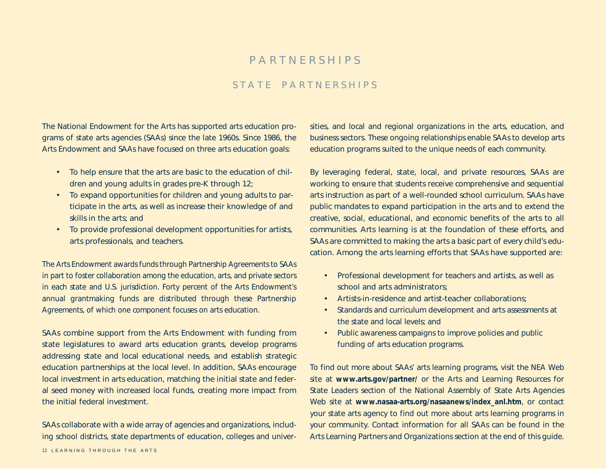# P A R T N E R S H I P S

# STATE PARTNERSHIPS

The National Endowment for the Arts has supported arts education programs of state arts agencies (SAAs) since the late 1960s. Since 1986, the Arts Endowment and SAAs have focused on three arts education goals:

- To help ensure that the arts are basic to the education of children and young adults in grades pre-K through 12;
- To expand opportunities for children and young adults to participate in the arts, as well as increase their knowledge of and skills in the arts; and
- To provide professional development opportunities for artists, arts professionals, and teachers.

The Arts Endowment awards funds through Partnership Agreements to SAAs in part to foster collaboration among the education, arts, and private sectors in each state and U.S. jurisdiction. Forty percent of the Arts Endowment's annual grantmaking funds are distributed through these Partnership Agreements, of which one component focuses on arts education.

SAAs combine support from the Arts Endowment with funding from state legislatures to award arts education grants, develop programs addressing state and local educational needs, and establish strategic education partnerships at the local level. In addition, SAAs encourage local investment in arts education, matching the initial state and federal seed money with increased local funds, creating more impact from the initial federal investment.

SAAs collaborate with a wide array of agencies and organizations, including school districts, state departments of education, colleges and universities, and local and regional organizations in the arts, education, and business sectors. These ongoing relationships enable SAAs to develop arts education programs suited to the unique needs of each community.

By leveraging federal, state, local, and private resources, SAAs are working to ensure that students receive comprehensive and sequential arts instruction as part of a well-rounded school curriculum. SAAs have public mandates to expand participation in the arts and to extend the creative, social, educational, and economic benefits of the arts to all communities. Arts learning is at the foundation of these efforts, and SAAs are committed to making the arts a basic part of every child's education. Among the arts learning efforts that SAAs have supported are:

- Professional development for teachers and artists, as well as school and arts administrators;
- Artists-in-residence and artist-teacher collaborations;
- Standards and curriculum development and arts assessments at the state and local levels; and
- Public awareness campaigns to improve policies and public funding of arts education programs.

To find out more about SAAs' arts learning programs, visit the NEA Web site at **www.arts.gov/partner/** or the Arts and Learning Resources for State Leaders section of the National Assembly of State Arts Agencies Web site at **www.nasaa-arts.org/nasaanews/index\_anl.htm**, or contact your state arts agency to find out more about arts learning programs in your community. Contact information for all SAAs can be found in the Arts Learning Partners and Organizations section at the end of this guide.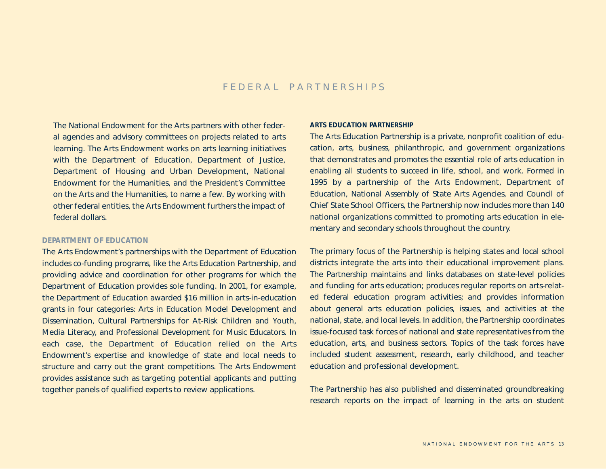The National Endowment for the Arts partners with other federal agencies and advisory committees on projects related to arts learning. The Arts Endowment works on arts learning initiatives with the Department of Education, Department of Justice, Department of Housing and Urban Development, National Endowment for the Humanities, and the President's Committee on the Arts and the Humanities, to name a few. By working with other federal entities, the Arts Endowment furthers the impact of federal dollars.

# **DEPARTMENT OF EDUCATION**

The Arts Endowment's partnerships with the Department of Education includes co-funding programs, like the Arts Education Partnership, and providing advice and coordination for other programs for which the Department of Education provides sole funding. In 2001, for example, the Department of Education awarded \$16 million in arts-in-education grants in four categories: Arts in Education Model Development and Dissemination, Cultural Partnerships for At-Risk Children and Youth, Media Literacy, and Professional Development for Music Educators. In each case, the Department of Education relied on the Arts Endowment's expertise and knowledge of state and local needs to structure and carry out the grant competitions. The Arts Endowment provides assistance such as targeting potential applicants and putting together panels of qualified experts to review applications.

### **ARTS EDUCATION PARTNERSHIP**

The Arts Education Partnership is a private, nonprofit coalition of education, arts, business, philanthropic, and government organizations that demonstrates and promotes the essential role of arts education in enabling all students to succeed in life, school, and work. Formed in 1995 by a partnership of the Arts Endowment, Department of Education, National Assembly of State Arts Agencies, and Council of Chief State School Officers, the Partnership now includes more than 140 national organizations committed to promoting arts education in elementary and secondary schools throughout the country.

The primary focus of the Partnership is helping states and local school districts integrate the arts into their educational improvement plans. The Partnership maintains and links databases on state-level policies and funding for arts education; produces regular reports on arts-related federal education program activities; and provides information about general arts education policies, issues, and activities at the national, state, and local levels. In addition, the Partnership coordinates issue-focused task forces of national and state representatives from the education, arts, and business sectors. Topics of the task forces have included student assessment, research, early childhood, and teacher education and professional development.

The Partnership has also published and disseminated groundbreaking research reports on the impact of learning in the arts on student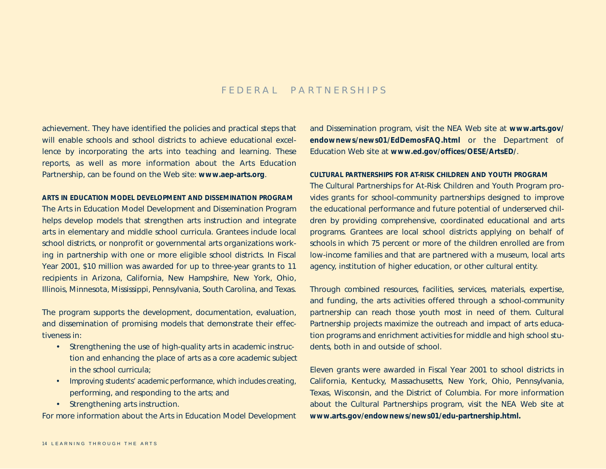achievement. They have identified the policies and practical steps that will enable schools and school districts to achieve educational excellence by incorporating the arts into teaching and learning. These reports, as well as more information about the Arts Education Partnership, can be found on the Web site: **www.aep-arts.org**.

# **ARTS IN EDUCATION MODEL DEVELOPMENT AND DISSEMINATION PROGRAM**

The Arts in Education Model Development and Dissemination Program helps develop models that strengthen arts instruction and integrate arts in elementary and middle school curricula. Grantees include local school districts, or nonprofit or governmental arts organizations working in partnership with one or more eligible school districts. In Fiscal Year 2001, \$10 million was awarded for up to three-year grants to 11 recipients in Arizona, California, New Hampshire, New York, Ohio, Illinois, Minnesota, Mississippi, Pennsylvania, South Carolina, and Texas.

The program supports the development, documentation, evaluation, and dissemination of promising models that demonstrate their effectiveness in:

- Strengthening the use of high-quality arts in academic instruction and enhancing the place of arts as a core academic subject in the school curricula;
- Improving students' academic performance, which includes creating, performing, and responding to the arts; and
- Strengthening arts instruction.

For more information about the Arts in Education Model Development

and Dissemination program, visit the NEA Web site at **www.arts.gov/ endownews/news01/EdDemosFAQ.html** or the Department of Education Web site at **www.ed.gov/offices/OESE/ArtsED/**.

### **CULTURAL PARTNERSHIPS FOR AT-RISK CHILDREN AND YOUTH PROGRAM**

The Cultural Partnerships for At-Risk Children and Youth Program provides grants for school-community partnerships designed to improve the educational performance and future potential of underserved children by providing comprehensive, coordinated educational and arts programs. Grantees are local school districts applying on behalf of schools in which 75 percent or more of the children enrolled are from low-income families and that are partnered with a museum, local arts agency, institution of higher education, or other cultural entity.

Through combined resources, facilities, services, materials, expertise, and funding, the arts activities offered through a school-community partnership can reach those youth most in need of them. Cultural Partnership projects maximize the outreach and impact of arts education programs and enrichment activities for middle and high school students, both in and outside of school.

Eleven grants were awarded in Fiscal Year 2001 to school districts in California, Kentucky, Massachusetts, New York, Ohio, Pennsylvania, Texas, Wisconsin, and the District of Columbia. For more information about the Cultural Partnerships program, visit the NEA Web site at **www.arts.gov/endownews/news01/edu-partnership.html.**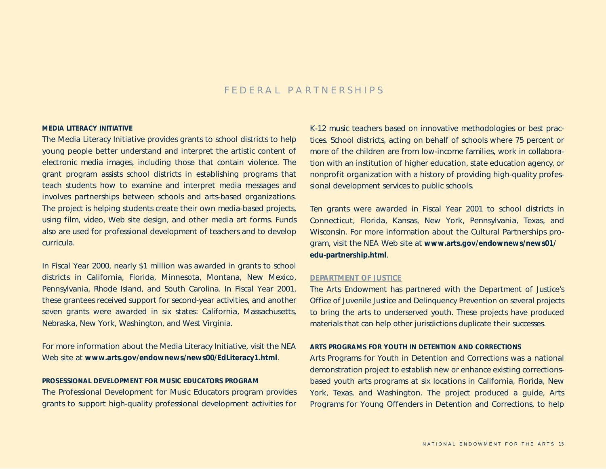# **MEDIA LITERACY INITIATIVE**

The Media Literacy Initiative provides grants to school districts to help young people better understand and interpret the artistic content of electronic media images, including those that contain violence. The grant program assists school districts in establishing programs that teach students how to examine and interpret media messages and involves partnerships between schools and arts-based organizations. The project is helping students create their own media-based projects, using film, video, Web site design, and other media art forms. Funds also are used for professional development of teachers and to develop curricula.

In Fiscal Year 2000, nearly \$1 million was awarded in grants to school districts in California, Florida, Minnesota, Montana, New Mexico, Pennsylvania, Rhode Island, and South Carolina. In Fiscal Year 2001, these grantees received support for second-year activities, and another seven grants were awarded in six states: California, Massachusetts, Nebraska, New York, Washington, and West Virginia.

For more information about the Media Literacy Initiative, visit the NEA Web site at **www.arts.gov/endownews/news00/EdLiteracy1.html**.

# **PROSESSIONAL DEVELOPMENT FOR MUSIC EDUCATORS PROGRAM**

The Professional Development for Music Educators program provides grants to support high-quality professional development activities for

K-12 music teachers based on innovative methodologies or best practices. School districts, acting on behalf of schools where 75 percent or more of the children are from low-income families, work in collaboration with an institution of higher education, state education agency, or nonprofit organization with a history of providing high-quality professional development services to public schools.

Ten grants were awarded in Fiscal Year 2001 to school districts in Connecticut, Florida, Kansas, New York, Pennsylvania, Texas, and Wisconsin. For more information about the Cultural Partnerships program, visit the NEA Web site at **www.arts.gov/endownews/news01/ edu-partnership.html**.

### **DEPARTMENT OF JUSTICE**

The Arts Endowment has partnered with the Department of Justice's Office of Juvenile Justice and Delinquency Prevention on several projects to bring the arts to underserved youth. These projects have produced materials that can help other jurisdictions duplicate their successes.

# **ARTS PROGRAMS FOR YOUTH IN DETENTION AND CORRECTIONS**

Arts Programs for Youth in Detention and Corrections was a national demonstration project to establish new or enhance existing correctionsbased youth arts programs at six locations in California, Florida, New York, Texas, and Washington. The project produced a guide, *Arts Programs for Young Offenders in Detention and Corrections*, to help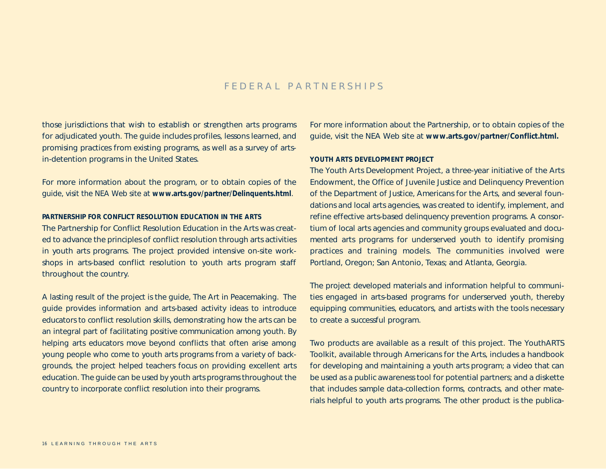those jurisdictions that wish to establish or strengthen arts programs for adjudicated youth. The guide includes profiles, lessons learned, and promising practices from existing programs, as well as a survey of artsin-detention programs in the United States.

For more information about the program, or to obtain copies of the guide, visit the NEA Web site at **www.arts.gov/partner/Delinquents.html**.

# **PARTNERSHIP FOR CONFLICT RESOLUTION EDUCATION IN THE ARTS**

The Partnership for Conflict Resolution Education in the Arts was created to advance the principles of conflict resolution through arts activities in youth arts programs. The project provided intensive on-site workshops in arts-based conflict resolution to youth arts program staff throughout the country.

A lasting result of the project is the guide, *The Art in Peacemaking*. The guide provides information and arts-based activity ideas to introduce educators to conflict resolution skills, demonstrating how the arts can be an integral part of facilitating positive communication among youth. By helping arts educators move beyond conflicts that often arise among young people who come to youth arts programs from a variety of backgrounds, the project helped teachers focus on providing excellent arts education. The guide can be used by youth arts programs throughout the country to incorporate conflict resolution into their programs.

For more information about the Partnership, or to obtain copies of the guide, visit the NEA Web site at **www.arts.gov/partner/Conflict.html.**

# **YOUTH ARTS DEVELOPMENT PROJECT**

The Youth Arts Development Project, a three-year initiative of the Arts Endowment, the Office of Juvenile Justice and Delinquency Prevention of the Department of Justice, Americans for the Arts, and several foundations and local arts agencies, was created to identify, implement, and refine effective arts-based delinquency prevention programs. A consortium of local arts agencies and community groups evaluated and documented arts programs for underserved youth to identify promising practices and training models. The communities involved were Portland, Oregon; San Antonio, Texas; and Atlanta, Georgia.

The project developed materials and information helpful to communities engaged in arts-based programs for underserved youth, thereby equipping communities, educators, and artists with the tools necessary to create a successful program.

Two products are available as a result of this project. The YouthARTS Toolkit, available through Americans for the Arts, includes a handbook for developing and maintaining a youth arts program; a video that can be used as a public awareness tool for potential partners; and a diskette that includes sample data-collection forms, contracts, and other materials helpful to youth arts programs. The other product is the publica-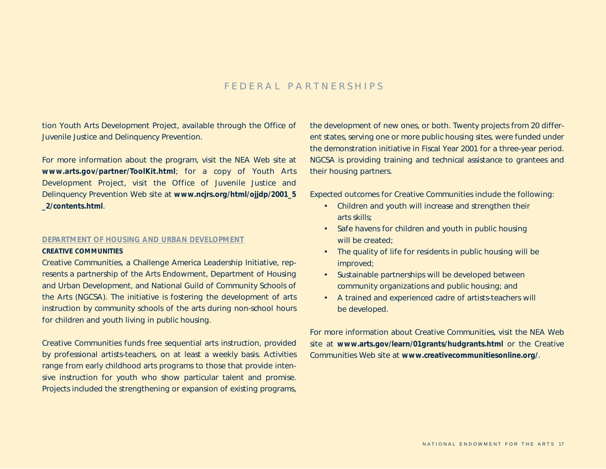tion *Youth Arts Development Project*, available through the Office of Juvenile Justice and Delinquency Prevention.

For more information about the program, visit the NEA Web site at **www.arts.gov/partner/ToolKit.html**; for a copy of Youth Arts Development Project, visit the Office of Juvenile Justice and Delinquency Prevention Web site at **www.ncjrs.org/html/ojjdp/2001\_5 \_2/contents.html**.

# **DEPARTMENT OF HOUSING AND URBAN DEVELOPMENT**

### **CREATIVE COMMUNITIES**

Creative Communities, a Challenge America Leadership Initiative, represents a partnership of the Arts Endowment, Department of Housing and Urban Development, and National Guild of Community Schools of the Arts (NGCSA). The initiative is fostering the development of arts instruction by community schools of the arts during non-school hours for children and youth living in public housing.

Creative Communities funds free sequential arts instruction, provided by professional artists-teachers, on at least a weekly basis. Activities range from early childhood arts programs to those that provide intensive instruction for youth who show particular talent and promise. Projects included the strengthening or expansion of existing programs, the development of new ones, or both. Twenty projects from 20 different states, serving one or more public housing sites, were funded under the demonstration initiative in Fiscal Year 2001 for a three-year period. NGCSA is providing training and technical assistance to grantees and their housing partners.

Expected outcomes for Creative Communities include the following:

- Children and youth will increase and strengthen their arts skills;
- Safe havens for children and youth in public housing will be created;
- The quality of life for residents in public housing will be improved;
- Sustainable partnerships will be developed between community organizations and public housing; and
- A trained and experienced cadre of artists-teachers will be developed.

For more information about Creative Communities, visit the NEA Web site at **www.arts.gov/learn/01grants/hudgrants.html** or the Creative Communities Web site at **www.creativecommunitiesonline.org/**.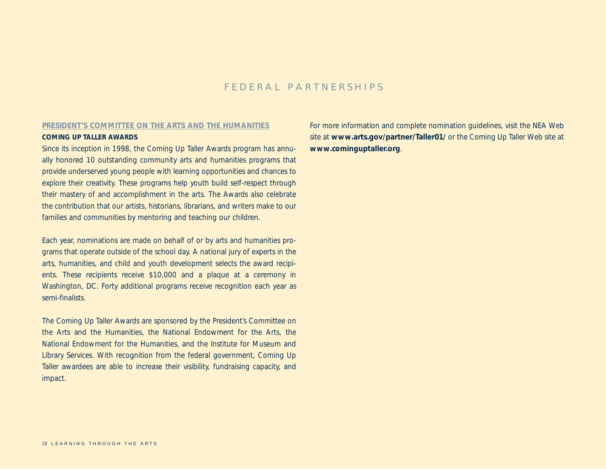# **PRESIDENT'S COMMITTEE ON THE ARTS AND THE HUMANITIES**

# **COMING UP TALLER AWARDS**

Since its inception in 1998, the Coming Up Taller Awards program has annually honored 10 outstanding community arts and humanities programs that provide underserved young people with learning opportunities and chances to explore their creativity. These programs help youth build self-respect through their mastery of and accomplishment in the arts. The Awards also celebrate the contribution that our artists, historians, librarians, and writers make to our families and communities by mentoring and teaching our children.

Each year, nominations are made on behalf of or by arts and humanities programs that operate outside of the school day. A national jury of experts in the arts, humanities, and child and youth development selects the award recipients. These recipients receive \$10,000 and a plaque at a ceremony in Washington, DC. Forty additional programs receive recognition each year as semi-finalists.

The Coming Up Taller Awards are sponsored by the President's Committee on the Arts and the Humanities, the National Endowment for the Arts, the National Endowment for the Humanities, and the Institute for Museum and Library Services. With recognition from the federal government, Coming Up Taller awardees are able to increase their visibility, fundraising capacity, and impact.

For more information and complete nomination guidelines, visit the NEA Web site at **www.arts.gov/partner/Taller01/** or the Coming Up Taller Web site at **www.cominguptaller.org**.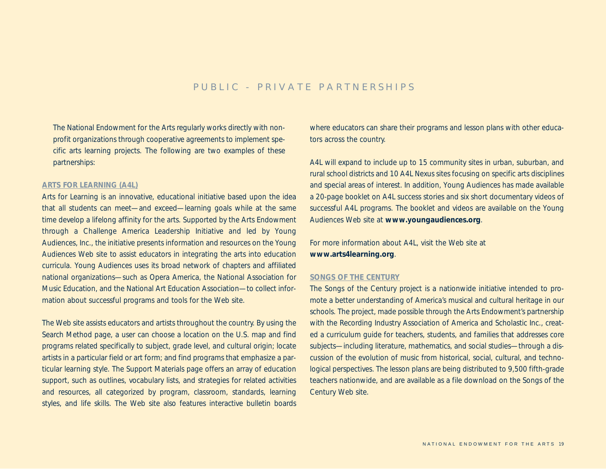# P U B L I C - P R I V A T E P A R T N F R S H I P S

The National Endowment for the Arts regularly works directly with nonprofit organizations through cooperative agreements to implement specific arts learning projects. The following are two examples of these partnerships:

# **ARTS FOR LEARNING (A4L)**

Arts for Learning is an innovative, educational initiative based upon the idea that all students can meet—and exceed—learning goals while at the same time develop a lifelong affinity for the arts. Supported by the Arts Endowment through a Challenge America Leadership Initiative and led by Young Audiences, Inc., the initiative presents information and resources on the Young Audiences Web site to assist educators in integrating the arts into education curricula. Young Audiences uses its broad network of chapters and affiliated national organizations—such as Opera America, the National Association for Music Education, and the National Art Education Association—to collect information about successful programs and tools for the Web site.

The Web site assists educators and artists throughout the country. By using the Search Method page, a user can choose a location on the U.S. map and find programs related specifically to subject, grade level, and cultural origin; locate artists in a particular field or art form; and find programs that emphasize a particular learning style. The Support Materials page offers an array of education support, such as outlines, vocabulary lists, and strategies for related activities and resources, all categorized by program, classroom, standards, learning styles, and life skills. The Web site also features interactive bulletin boards where educators can share their programs and lesson plans with other educators across the country.

A4L will expand to include up to 15 community sites in urban, suburban, and rural school districts and 10 A4L Nexus sites focusing on specific arts disciplines and special areas of interest. In addition, Young Audiences has made available a 20-page booklet on A4L success stories and six short documentary videos of successful A4L programs. The booklet and videos are available on the Young Audiences Web site at **www.youngaudiences.org**.

For more information about A4L, visit the Web site at **www.arts4learning.org**.

# **SONGS OF THE CENTURY**

The Songs of the Century project is a nationwide initiative intended to promote a better understanding of America's musical and cultural heritage in our schools. The project, made possible through the Arts Endowment's partnership with the Recording Industry Association of America and Scholastic Inc., created a curriculum guide for teachers, students, and families that addresses core subjects—including literature, mathematics, and social studies—through a discussion of the evolution of music from historical, social, cultural, and technological perspectives. The lesson plans are being distributed to 9,500 fifth-grade teachers nationwide, and are available as a file download on the Songs of the Century Web site.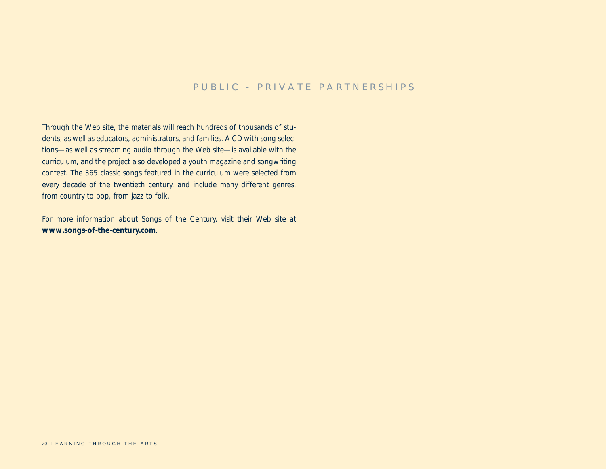# PUBLIC - PRIVATE PARTNERSHIPS

Through the Web site, the materials will reach hundreds of thousands of students, as well as educators, administrators, and families. A CD with song selections—as well as streaming audio through the Web site—is available with the curriculum, and the project also developed a youth magazine and songwriting contest. The 365 classic songs featured in the curriculum were selected from every decade of the twentieth century, and include many different genres, from country to pop, from jazz to folk.

For more information about Songs of the Century, visit their Web site at **www.songs-of-the-century.com**.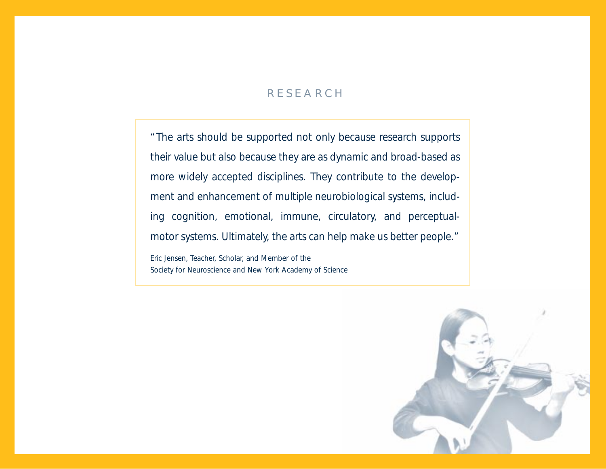# R E S E A R C H

"The arts should be supported not only because research supports their value but also because they are as dynamic and broad-based as more widely accepted disciplines. They contribute to the development and enhancement of multiple neurobiological systems, including cognition, emotional, immune, circulatory, and perceptualmotor systems. Ultimately, the arts can help make us better people."

Eric Jensen, Teacher, Scholar, and Member of the Society for Neuroscience and New York Academy of Science

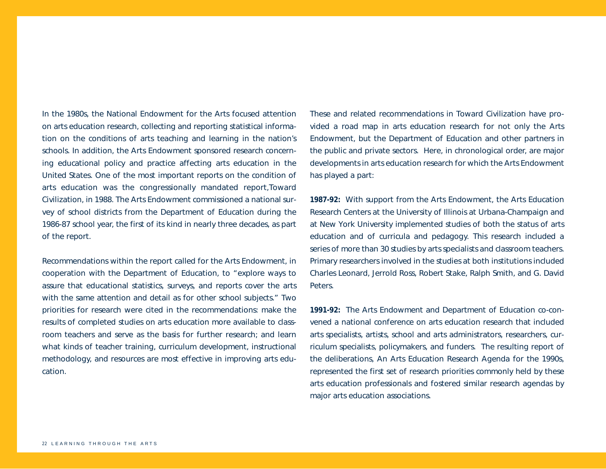In the 1980s, the National Endowment for the Arts focused attention on arts education research, collecting and reporting statistical information on the conditions of arts teaching and learning in the nation's schools. In addition, the Arts Endowment sponsored research concerning educational policy and practice affecting arts education in the United States. One of the most important reports on the condition of arts education was the congressionally mandated report,*Toward Civilization*, in 1988. The Arts Endowment commissioned a national survey of school districts from the Department of Education during the 1986-87 school year, the first of its kind in nearly three decades, as part of the report.

Recommendations within the report called for the Arts Endowment, in cooperation with the Department of Education, to "explore ways to assure that educational statistics, surveys, and reports cover the arts with the same attention and detail as for other school subjects." Two priorities for research were cited in the recommendations: make the results of completed studies on arts education more available to classroom teachers and serve as the basis for further research; and learn what kinds of teacher training, curriculum development, instructional methodology, and resources are most effective in improving arts education.

These and related recommendations in *Toward Civilization* have provided a road map in arts education research for not only the Arts Endowment, but the Department of Education and other partners in the public and private sectors. Here, in chronological order, are major developments in arts education research for which the Arts Endowment has played a part:

**1987-92:** With support from the Arts Endowment, the Arts Education Research Centers at the University of Illinois at Urbana-Champaign and at New York University implemented studies of both the status of arts education and of curricula and pedagogy. This research included a series of more than 30 studies by arts specialists and classroom teachers. Primary researchers involved in the studies at both institutions included Charles Leonard, Jerrold Ross, Robert Stake, Ralph Smith, and G. David Peters.

**1991-92:** The Arts Endowment and Department of Education co-convened a national conference on arts education research that included arts specialists, artists, school and arts administrators, researchers, curriculum specialists, policymakers, and funders. The resulting report of the deliberations, *An Arts Education Research Agenda for the 1990s*, represented the first set of research priorities commonly held by these arts education professionals and fostered similar research agendas by major arts education associations.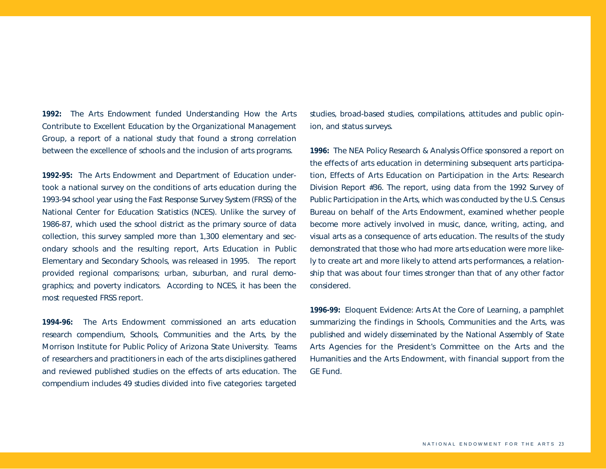**1992:** The Arts Endowment funded *Understanding How the Arts Contribute to Excellent Education* by the Organizational Management Group, a report of a national study that found a strong correlation between the excellence of schools and the inclusion of arts programs.

**1992-95:** The Arts Endowment and Department of Education undertook a national survey on the conditions of arts education during the 1993-94 school year using the Fast Response Survey System (FRSS) of the National Center for Education Statistics (NCES). Unlike the survey of 1986-87, which used the school district as the primary source of data collection, this survey sampled more than 1,300 elementary and secondary schools and the resulting report, *Arts Education in Public Elementary and Secondary Schools*, was released in 1995. The report provided regional comparisons; urban, suburban, and rural demographics; and poverty indicators. According to NCES, it has been the most requested FRSS report.

**1994-96:** The Arts Endowment commissioned an arts education research compendium, *Schools, Communities and the Arts*, by the Morrison Institute for Public Policy of Arizona State University. Teams of researchers and practitioners in each of the arts disciplines gathered and reviewed published studies on the effects of arts education. The compendium includes 49 studies divided into five categories: targeted studies, broad-based studies, compilations, attitudes and public opinion, and status surveys.

**1996:** The NEA Policy Research & Analysis Office sponsored a report on the effects of arts education in determining subsequent arts participation, *Effects of Arts Education on Participation in the Arts: Research Division Report #36*. The report, using data from the 1992 Survey of Public Participation in the Arts, which was conducted by the U.S. Census Bureau on behalf of the Arts Endowment, examined whether people become more actively involved in music, dance, writing, acting, and visual arts as a consequence of arts education. The results of the study demonstrated that those who had more arts education were more likely to create art and more likely to attend arts performances, a relationship that was about four times stronger than that of any other factor considered.

**1996-99:** *Eloquent Evidence: Arts At the Core of Learning*, a pamphlet summarizing the findings in *Schools, Communities and the Arts*, was published and widely disseminated by the National Assembly of State Arts Agencies for the President's Committee on the Arts and the Humanities and the Arts Endowment, with financial support from the GE Fund.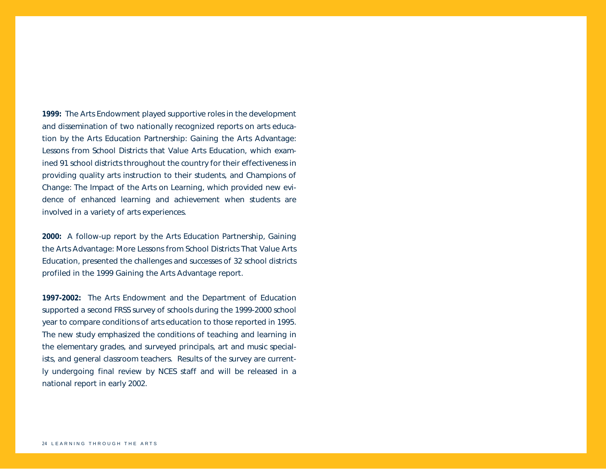**1999:** The Arts Endowment played supportive roles in the development and dissemination of two nationally recognized reports on arts education by the Arts Education Partnership: *Gaining the Arts Advantage: Lessons from School Districts that Value Arts Education*, which examined 91 school districts throughout the country for their effectiveness in providing quality arts instruction to their students, and *Champions of Change: The Impact of the Arts on Learning*, which provided new evidence of enhanced learning and achievement when students are involved in a variety of arts experiences.

**2000:** A follow-up report by the Arts Education Partnership, *Gaining the Arts Advantage: More Lessons from School Districts That Value Arts Education*, presented the challenges and successes of 32 school districts profiled in the 1999 *Gaining the Arts Advantage* report.

**1997-2002:** The Arts Endowment and the Department of Education supported a second FRSS survey of schools during the 1999-2000 school year to compare conditions of arts education to those reported in 1995. The new study emphasized the conditions of teaching and learning in the elementary grades, and surveyed principals, art and music specialists, and general classroom teachers. Results of the survey are currently undergoing final review by NCES staff and will be released in a national report in early 2002.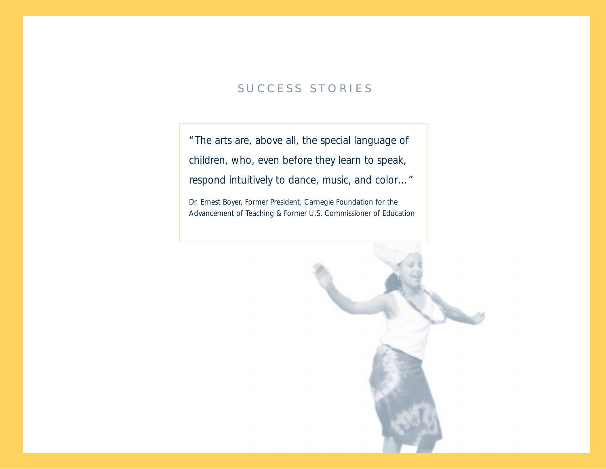# SUCCESS STORIES

"The arts are, above all, the special language of children, who, even before they learn to speak, respond intuitively to dance, music, and color…"

Dr. Ernest Boyer, Former President, Carnegie Foundation for the Advancement of Teaching & Former U.S. Commissioner of Education

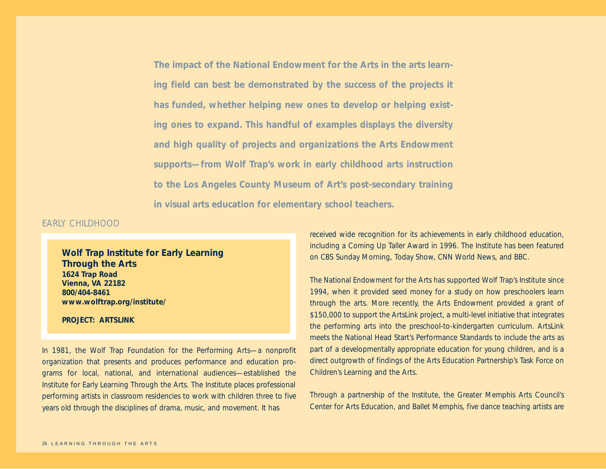**The impact of the National Endowment for the Arts in the arts learning field can best be demonstrated by the success of the projects it has funded, whether helping new ones to develop or helping existing ones to expand. This handful of examples displays the diversity and high quality of projects and organizations the Arts Endowment supports—from Wolf Trap's work in early childhood arts instruction to the Los Angeles County Museum of Art's post-secondary training in visual arts education for elementary school teachers.**

# EARLY CHILDHOOD

**Wolf Trap Institute for Early Learning Through the Arts 1624 Trap Road Vienna, VA 22182 800/404-8461 www.wolftrap.org/institute/**

**PROJECT: ARTSLINK**

In 1981, the Wolf Trap Foundation for the Performing Arts—a nonprofit organization that presents and produces performance and education programs for local, national, and international audiences—established the Institute for Early Learning Through the Arts. The Institute places professional performing artists in classroom residencies to work with children three to five years old through the disciplines of drama, music, and movement. It has

received wide recognition for its achievements in early childhood education, including a Coming Up Taller Award in 1996. The Institute has been featured on *CBS Sunday Morning, Today Show, CNN World News*, and *BBC*.

The National Endowment for the Arts has supported Wolf Trap's Institute since 1994, when it provided seed money for a study on how preschoolers learn through the arts. More recently, the Arts Endowment provided a grant of \$150,000 to support the ArtsLink project, a multi-level initiative that integrates the performing arts into the preschool-to-kindergarten curriculum. ArtsLink meets the National Head Start's Performance Standards to include the arts as part of a developmentally appropriate education for young children, and is a direct outgrowth of findings of the Arts Education Partnership's Task Force on Children's Learning and the Arts.

Through a partnership of the Institute, the Greater Memphis Arts Council's Center for Arts Education, and Ballet Memphis, five dance teaching artists are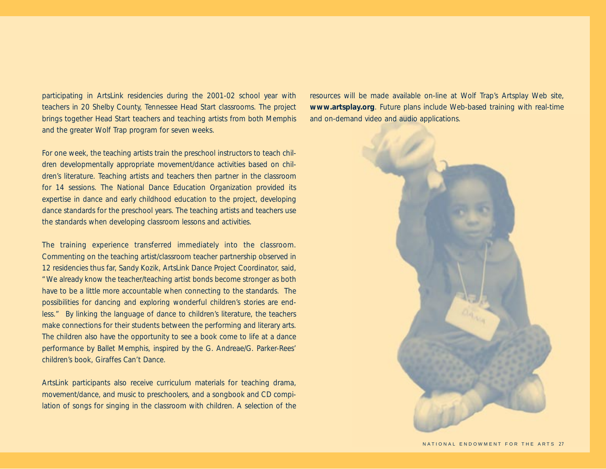participating in ArtsLink residencies during the 2001-02 school year with teachers in 20 Shelby County, Tennessee Head Start classrooms. The project brings together Head Start teachers and teaching artists from both Memphis and the greater Wolf Trap program for seven weeks.

For one week, the teaching artists train the preschool instructors to teach children developmentally appropriate movement/dance activities based on children's literature. Teaching artists and teachers then partner in the classroom for 14 sessions. The National Dance Education Organization provided its expertise in dance and early childhood education to the project, developing dance standards for the preschool years. The teaching artists and teachers use the standards when developing classroom lessons and activities.

The training experience transferred immediately into the classroom. Commenting on the teaching artist/classroom teacher partnership observed in 12 residencies thus far, Sandy Kozik, ArtsLink Dance Project Coordinator, said, "We already know the teacher/teaching artist bonds become stronger as both have to be a little more accountable when connecting to the standards. The possibilities for dancing and exploring wonderful children's stories are endless." By linking the language of dance to children's literature, the teachers make connections for their students between the performing and literary arts. The children also have the opportunity to see a book come to life at a dance performance by Ballet Memphis, inspired by the G. Andreae/G. Parker-Rees' children's book, *Giraffes Can't Dance.* 

ArtsLink participants also receive curriculum materials for teaching drama, movement/dance, and music to preschoolers, and a songbook and CD compilation of songs for singing in the classroom with children. A selection of the

resources will be made available on-line at Wolf Trap's Artsplay Web site, **www.artsplay.org**. Future plans include Web-based training with real-time and on-demand video and audio applications.

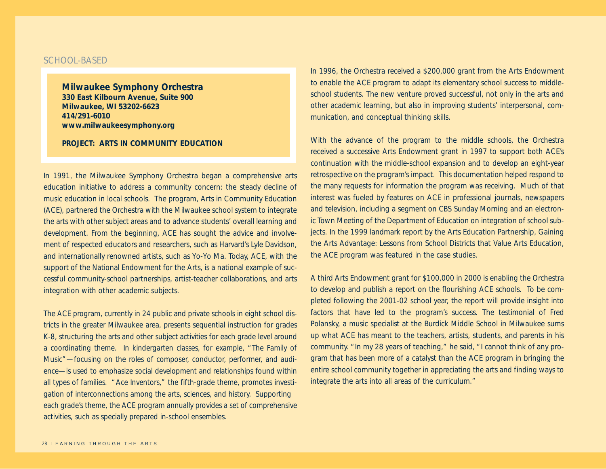# SCHOOL-BASED

**Milwaukee Symphony Orchestra 330 East Kilbourn Avenue, Suite 900 Milwaukee, WI 53202-6623 414/291-6010 www.milwaukeesymphony.org**

# **PROJECT: ARTS IN COMMUNITY EDUCATION**

In 1991, the Milwaukee Symphony Orchestra began a comprehensive arts education initiative to address a community concern: the steady decline of music education in local schools. The program, Arts in Community Education (ACE), partnered the Orchestra with the Milwaukee school system to integrate the arts with other subject areas and to advance students' overall learning and development. From the beginning, ACE has sought the advice and involvement of respected educators and researchers, such as Harvard's Lyle Davidson, and internationally renowned artists, such as Yo-Yo Ma. Today, ACE, with the support of the National Endowment for the Arts, is a national example of successful community-school partnerships, artist-teacher collaborations, and arts integration with other academic subjects.

The ACE program, currently in 24 public and private schools in eight school districts in the greater Milwaukee area, presents sequential instruction for grades K-8, structuring the arts and other subject activities for each grade level around a coordinating theme. In kindergarten classes, for example, "The Family of Music"—focusing on the roles of composer, conductor, performer, and audience—is used to emphasize social development and relationships found within all types of families. "Ace Inventors," the fifth-grade theme, promotes investigation of interconnections among the arts, sciences, and history. Supporting each grade's theme, the ACE program annually provides a set of comprehensive activities, such as specially prepared in-school ensembles.

In 1996, the Orchestra received a \$200,000 grant from the Arts Endowment to enable the ACE program to adapt its elementary school success to middleschool students. The new venture proved successful, not only in the arts and other academic learning, but also in improving students' interpersonal, communication, and conceptual thinking skills.

With the advance of the program to the middle schools, the Orchestra received a successive Arts Endowment grant in 1997 to support both ACE's continuation with the middle-school expansion and to develop an eight-year retrospective on the program's impact. This documentation helped respond to the many requests for information the program was receiving. Much of that interest was fueled by features on ACE in professional journals, newspapers and television, including a segment on *CBS Sunday Morning* and an electronic Town Meeting of the Department of Education on integration of school subjects. In the 1999 landmark report by the Arts Education Partnership, *Gaining the Arts Advantage: Lessons from School Districts that Value Arts Education*, the ACE program was featured in the case studies.

A third Arts Endowment grant for \$100,000 in 2000 is enabling the Orchestra to develop and publish a report on the flourishing ACE schools. To be completed following the 2001-02 school year, the report will provide insight into factors that have led to the program's success. The testimonial of Fred Polansky, a music specialist at the Burdick Middle School in Milwaukee sums up what ACE has meant to the teachers, artists, students, and parents in his community. "In my 28 years of teaching," he said, "I cannot think of any program that has been more of a catalyst than the ACE program in bringing the entire school community together in appreciating the arts and finding ways to integrate the arts into all areas of the curriculum."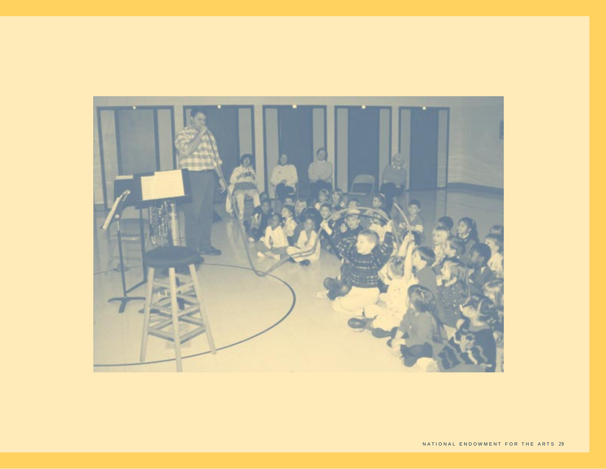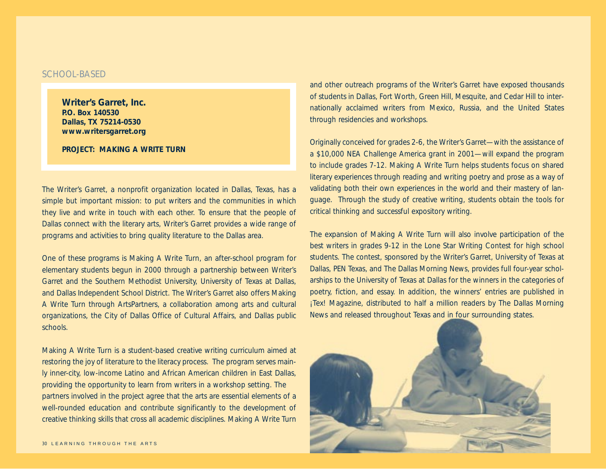# SCHOOL-BASED

**Writer's Garret, Inc. P.O. Box 140530 Dallas, TX 75214-0530 www.writersgarret.org**

# **PROJECT: MAKING A WRITE TURN**

The Writer's Garret, a nonprofit organization located in Dallas, Texas, has a simple but important mission: to put writers and the communities in which they live and write in touch with each other. To ensure that the people of Dallas connect with the literary arts, Writer's Garret provides a wide range of programs and activities to bring quality literature to the Dallas area.

One of these programs is Making A Write Turn, an after-school program for elementary students begun in 2000 through a partnership between Writer's Garret and the Southern Methodist University, University of Texas at Dallas, and Dallas Independent School District. The Writer's Garret also offers Making A Write Turn through ArtsPartners, a collaboration among arts and cultural organizations, the City of Dallas Office of Cultural Affairs, and Dallas public schools.

Making A Write Turn is a student-based creative writing curriculum aimed at restoring the joy of literature to the literacy process. The program serves mainly inner-city, low-income Latino and African American children in East Dallas, providing the opportunity to learn from writers in a workshop setting. The partners involved in the project agree that the arts are essential elements of a well-rounded education and contribute significantly to the development of creative thinking skills that cross all academic disciplines. Making A Write Turn and other outreach programs of the Writer's Garret have exposed thousands of students in Dallas, Fort Worth, Green Hill, Mesquite, and Cedar Hill to internationally acclaimed writers from Mexico, Russia, and the United States through residencies and workshops.

Originally conceived for grades 2-6, the Writer's Garret—with the assistance of a \$10,000 NEA Challenge America grant in 2001—will expand the program to include grades 7-12. Making A Write Turn helps students focus on shared literary experiences through reading and writing poetry and prose as a way of validating both their own experiences in the world and their mastery of language. Through the study of creative writing, students obtain the tools for critical thinking and successful expository writing.

The expansion of Making A Write Turn will also involve participation of the best writers in grades 9-12 in the Lone Star Writing Contest for high school students. The contest, sponsored by the Writer's Garret, University of Texas at Dallas, PEN Texas, and *The Dallas Morning News*, provides full four-year scholarships to the University of Texas at Dallas for the winners in the categories of poetry, fiction, and essay. In addition, the winners' entries are published in *¡Tex! Magazine,* distributed to half a million readers by *The Dallas Morning News* and released throughout Texas and in four surrounding states.

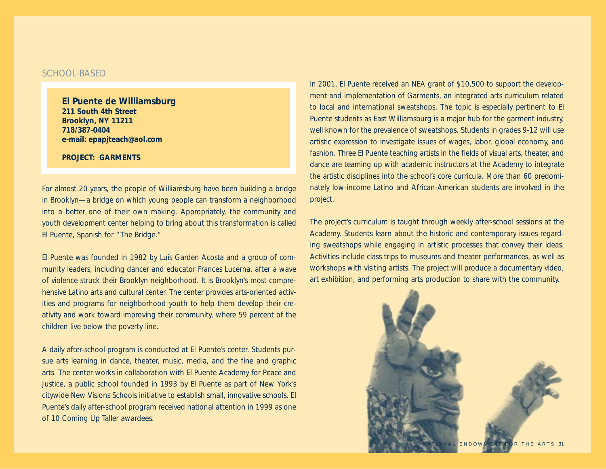# SCHOOL-BASED

**El Puente de Williamsburg 211 South 4th Street Brooklyn, NY 11211 718/387-0404 e-mail: epapjteach@aol.com**

**PROJECT: GARMENTS**

For almost 20 years, the people of Williamsburg have been building a bridge in Brooklyn—a bridge on which young people can transform a neighborhood into a better one of their own making. Appropriately, the community and youth development center helping to bring about this transformation is called El Puente, Spanish for "The Bridge."

El Puente was founded in 1982 by Luis Garden Acosta and a group of community leaders, including dancer and educator Frances Lucerna, after a wave of violence struck their Brooklyn neighborhood. It is Brooklyn's most comprehensive Latino arts and cultural center. The center provides arts-oriented activities and programs for neighborhood youth to help them develop their creativity and work toward improving their community, where 59 percent of the children live below the poverty line.

A daily after-school program is conducted at El Puente's center. Students pursue arts learning in dance, theater, music, media, and the fine and graphic arts. The center works in collaboration with El Puente Academy for Peace and Justice, a public school founded in 1993 by El Puente as part of New York's citywide New Visions Schools initiative to establish small, innovative schools. El Puente's daily after-school program received national attention in 1999 as one of 10 Coming Up Taller awardees.

In 2001, El Puente received an NEA grant of \$10,500 to support the development and implementation of Garments, an integrated arts curriculum related to local and international sweatshops. The topic is especially pertinent to El Puente students as East Williamsburg is a major hub for the garment industry, well known for the prevalence of sweatshops. Students in grades 9-12 will use artistic expression to investigate issues of wages, labor, global economy, and fashion. Three El Puente teaching artists in the fields of visual arts, theater, and dance are teaming up with academic instructors at the Academy to integrate the artistic disciplines into the school's core curricula. More than 60 predominately low-income Latino and African-American students are involved in the project.

The project's curriculum is taught through weekly after-school sessions at the Academy. Students learn about the historic and contemporary issues regarding sweatshops while engaging in artistic processes that convey their ideas. Activities include class trips to museums and theater performances, as well as workshops with visiting artists. The project will produce a documentary video, art exhibition, and performing arts production to share with the community.

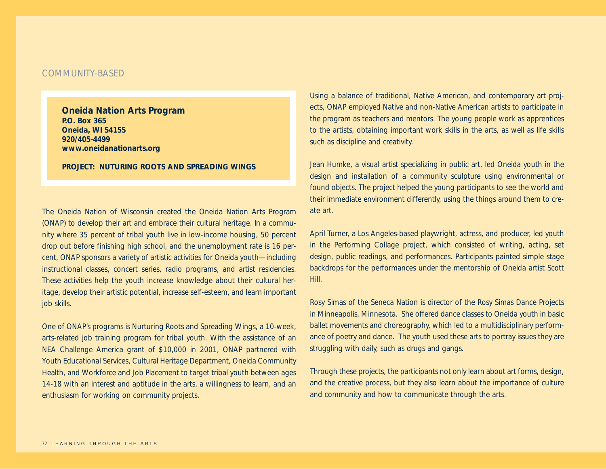# COMMUNITY-BASED

**Oneida Nation Arts Program P.O. Box 365 Oneida, WI 54155 920/405-4499 www.oneidanationarts.org**

**PROJECT: NUTURING ROOTS AND SPREADING WINGS**

The Oneida Nation of Wisconsin created the Oneida Nation Arts Program (ONAP) to develop their art and embrace their cultural heritage. In a community where 35 percent of tribal youth live in low-income housing, 50 percent drop out before finishing high school, and the unemployment rate is 16 percent, ONAP sponsors a variety of artistic activities for Oneida youth—including instructional classes, concert series, radio programs, and artist residencies. These activities help the youth increase knowledge about their cultural heritage, develop their artistic potential, increase self-esteem, and learn important job skills.

One of ONAP's programs is Nurturing Roots and Spreading Wings, a 10-week, arts-related job training program for tribal youth. With the assistance of an NEA Challenge America grant of \$10,000 in 2001, ONAP partnered with Youth Educational Services, Cultural Heritage Department, Oneida Community Health, and Workforce and Job Placement to target tribal youth between ages 14-18 with an interest and aptitude in the arts, a willingness to learn, and an enthusiasm for working on community projects.

Using a balance of traditional, Native American, and contemporary art projects, ONAP employed Native and non-Native American artists to participate in the program as teachers and mentors. The young people work as apprentices to the artists, obtaining important work skills in the arts, as well as life skills such as discipline and creativity.

Jean Humke, a visual artist specializing in public art, led Oneida youth in the design and installation of a community sculpture using environmental or found objects. The project helped the young participants to see the world and their immediate environment differently, using the things around them to create art.

April Turner, a Los Angeles-based playwright, actress, and producer, led youth in the Performing Collage project, which consisted of writing, acting, set design, public readings, and performances. Participants painted simple stage backdrops for the performances under the mentorship of Oneida artist Scott Hill.

Rosy Simas of the Seneca Nation is director of the Rosy Simas Dance Projects in Minneapolis, Minnesota. She offered dance classes to Oneida youth in basic ballet movements and choreography, which led to a multidisciplinary performance of poetry and dance. The youth used these arts to portray issues they are struggling with daily, such as drugs and gangs.

Through these projects, the participants not only learn about art forms, design, and the creative process, but they also learn about the importance of culture and community and how to communicate through the arts.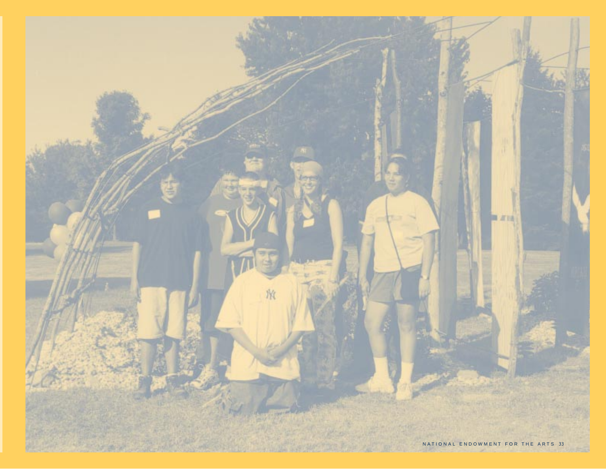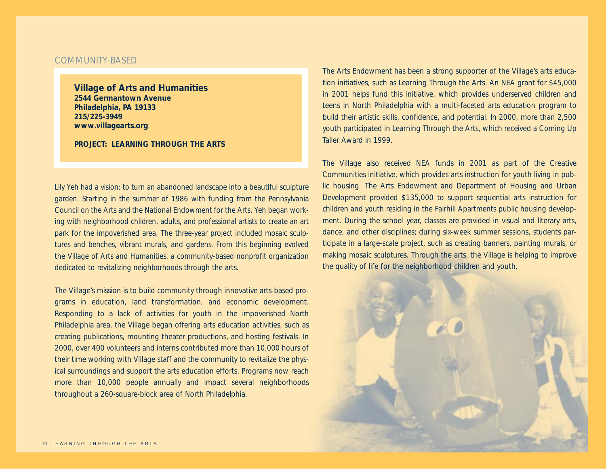# COMMUNITY-BASED

**Village of Arts and Humanities 2544 Germantown Avenue Philadelphia, PA 19133 215/225-3949 www.villagearts.org**

# **PROJECT: LEARNING THROUGH THE ARTS**

Lily Yeh had a vision: to turn an abandoned landscape into a beautiful sculpture garden. Starting in the summer of 1986 with funding from the Pennsylvania Council on the Arts and the National Endowment for the Arts, Yeh began working with neighborhood children, adults, and professional artists to create an art park for the impoverished area. The three-year project included mosaic sculptures and benches, vibrant murals, and gardens. From this beginning evolved the Village of Arts and Humanities, a community-based nonprofit organization dedicated to revitalizing neighborhoods through the arts.

The Village's mission is to build community through innovative arts-based programs in education, land transformation, and economic development. Responding to a lack of activities for youth in the impoverished North Philadelphia area, the Village began offering arts education activities, such as creating publications, mounting theater productions, and hosting festivals. In 2000, over 400 volunteers and interns contributed more than 10,000 hours of their time working with Village staff and the community to revitalize the physical surroundings and support the arts education efforts. Programs now reach more than 10,000 people annually and impact several neighborhoods throughout a 260-square-block area of North Philadelphia.

The Arts Endowment has been a strong supporter of the Village's arts education initiatives, such as Learning Through the Arts. An NEA grant for \$45,000 in 2001 helps fund this initiative, which provides underserved children and teens in North Philadelphia with a multi-faceted arts education program to build their artistic skills, confidence, and potential. In 2000, more than 2,500 youth participated in Learning Through the Arts, which received a Coming Up Taller Award in 1999.

The Village also received NEA funds in 2001 as part of the Creative Communities initiative, which provides arts instruction for youth living in public housing. The Arts Endowment and Department of Housing and Urban Development provided \$135,000 to support sequential arts instruction for children and youth residing in the Fairhill Apartments public housing development. During the school year, classes are provided in visual and literary arts, dance, and other disciplines; during six-week summer sessions, students participate in a large-scale project, such as creating banners, painting murals, or making mosaic sculptures. Through the arts, the Village is helping to improve the quality of life for the neighborhood children and youth.

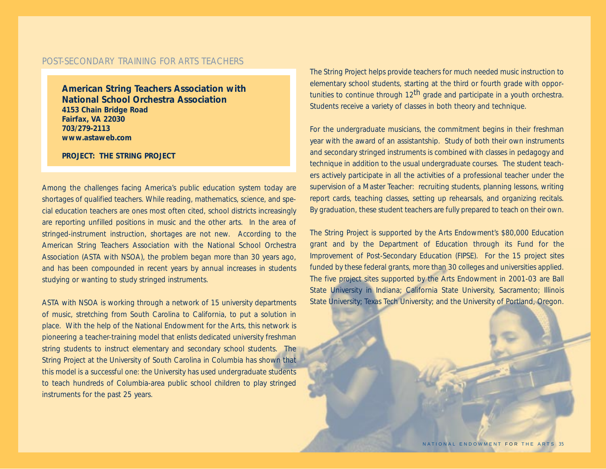# POST-SECONDARY TRAINING FOR ARTS TEACHERS

**American String Teachers Association with National School Orchestra Association 4153 Chain Bridge Road Fairfax, VA 22030 703/279-2113 www.astaweb.com**

# **PROJECT: THE STRING PROJECT**

Among the challenges facing America's public education system today are shortages of qualified teachers. While reading, mathematics, science, and special education teachers are ones most often cited, school districts increasingly are reporting unfilled positions in music and the other arts. In the area of stringed-instrument instruction, shortages are not new. According to the American String Teachers Association with the National School Orchestra Association (ASTA with NSOA), the problem began more than 30 years ago, and has been compounded in recent years by annual increases in students studying or wanting to study stringed instruments.

ASTA with NSOA is working through a network of 15 university departments of music, stretching from South Carolina to California, to put a solution in place. With the help of the National Endowment for the Arts, this network is pioneering a teacher-training model that enlists dedicated university freshman string students to instruct elementary and secondary school students. The String Project at the University of South Carolina in Columbia has shown that this model is a successful one: the University has used undergraduate students to teach hundreds of Columbia-area public school children to play stringed instruments for the past 25 years.

The String Project helps provide teachers for much needed music instruction to elementary school students, starting at the third or fourth grade with opportunities to continue through 12<sup>th</sup> grade and participate in a youth orchestra. Students receive a variety of classes in both theory and technique.

For the undergraduate musicians, the commitment begins in their freshman year with the award of an assistantship. Study of both their own instruments and secondary stringed instruments is combined with classes in pedagogy and technique in addition to the usual undergraduate courses. The student teachers actively participate in all the activities of a professional teacher under the supervision of a Master Teacher: recruiting students, planning lessons, writing report cards, teaching classes, setting up rehearsals, and organizing recitals. By graduation, these student teachers are fully prepared to teach on their own.

The String Project is supported by the Arts Endowment's \$80,000 Education grant and by the Department of Education through its Fund for the Improvement of Post-Secondary Education (FIPSE). For the 15 project sites funded by these federal grants, more than 30 colleges and universities applied. The five project sites supported by the Arts Endowment in 2001-03 are Ball State University in Indiana; California State University, Sacramento; Illinois State University; Texas Tech University; and the University of Portland, Oregon.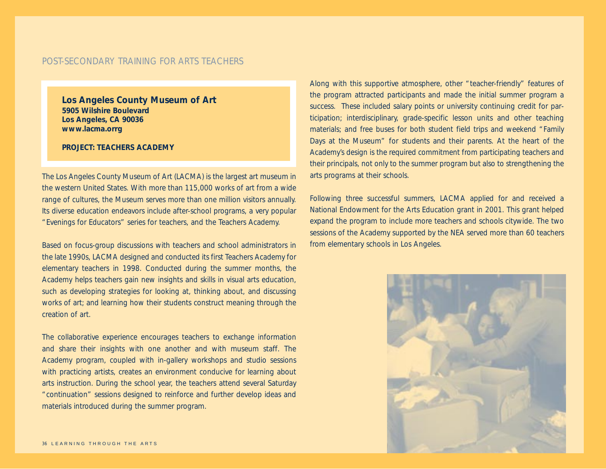# POST-SECONDARY TRAINING FOR ARTS TEACHERS

**Los Angeles County Museum of Art 5905 Wilshire Boulevard Los Angeles, CA 90036 www.lacma.orrg**

# **PROJECT: TEACHERS ACADEMY**

The Los Angeles County Museum of Art (LACMA) is the largest art museum in the western United States. With more than 115,000 works of art from a wide range of cultures, the Museum serves more than one million visitors annually. Its diverse education endeavors include after-school programs, a very popular "Evenings for Educators" series for teachers, and the Teachers Academy.

Based on focus-group discussions with teachers and school administrators in the late 1990s, LACMA designed and conducted its first Teachers Academy for elementary teachers in 1998. Conducted during the summer months, the Academy helps teachers gain new insights and skills in visual arts education, such as developing strategies for looking at, thinking about, and discussing works of art; and learning how their students construct meaning through the creation of art.

The collaborative experience encourages teachers to exchange information and share their insights with one another and with museum staff. The Academy program, coupled with in-gallery workshops and studio sessions with practicing artists, creates an environment conducive for learning about arts instruction. During the school year, the teachers attend several Saturday "continuation" sessions designed to reinforce and further develop ideas and materials introduced during the summer program.

Along with this supportive atmosphere, other "teacher-friendly" features of the program attracted participants and made the initial summer program a success. These included salary points or university continuing credit for participation; interdisciplinary, grade-specific lesson units and other teaching materials; and free buses for both student field trips and weekend "Family Days at the Museum" for students and their parents. At the heart of the Academy's design is the required commitment from participating teachers and their principals, not only to the summer program but also to strengthening the arts programs at their schools.

Following three successful summers, LACMA applied for and received a National Endowment for the Arts Education grant in 2001. This grant helped expand the program to include more teachers and schools citywide. The two sessions of the Academy supported by the NEA served more than 60 teachers from elementary schools in Los Angeles.

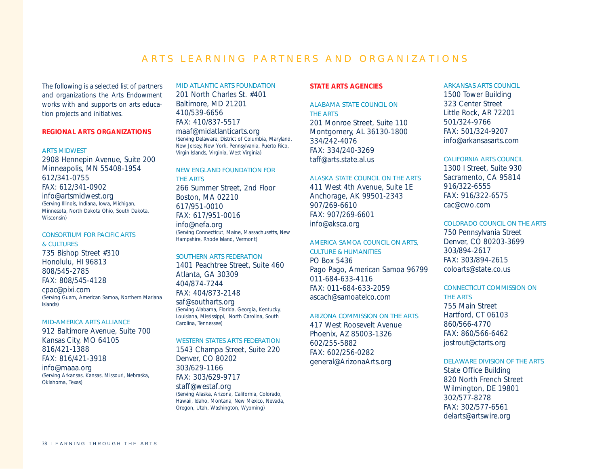# A R T S L E A R N I N G P A R T N E R S A N D O R G A N I Z A T LONS

The following is a selected list of partners and organizations the Arts Endowment works with and supports on arts education projects and initiatives.

### **REGIONAL ARTS ORGANIZATIONS**

### ARTS MIDWEST

2908 Hennepin Avenue, Suite 200 Minneapolis, MN 55408-1954 612/341-0755 FAX: 612/341-0902 info@artsmidwest.org *(Serving Illinois, Indiana, Iowa, Michigan, Minnesota, North Dakota Ohio, South Dakota, Wisconsin)*

# CONSORTIUM FOR PACIFIC ARTS

& CULTURES 735 Bishop Street #310 Honolulu, HI 96813 808/545-2785 FAX: 808/545-4128 cpac@pixi.com

*(Serving Guam, American Samoa, Northern Mariana Islands)*

### MID-AMERICA ARTS ALLIANCE

912 Baltimore Avenue, Suite 700 Kansas City, MO 64105 816/421-1388 FAX: 816/421-3918 info@maaa.org

*(Serving Arkansas, Kansas, Missouri, Nebraska, Oklahoma, Texas)*

MID ATLANTIC ARTS FOUNDATION 201 North Charles St. #401 Baltimore, MD 21201 410/539-6656 FAX: 410/837-5517 maaf@midatlanticarts.org *(Serving Delaware, District of Columbia, Maryland, New Jersey, New York, Pennsylvania, Puerto Rico, Virgin Islands, Virginia, West Virginia)*

# NEW ENGLAND FOUNDATION FOR THE ARTS

266 Summer Street, 2nd Floor Boston, MA 02210 617/951-0010 FAX: 617/951-0016 info@nefa.org *(Serving Connecticut, Maine, Massachusetts, New Hampshire, Rhode Island, Vermont)*

### SOUTHERN ARTS FEDERATION

1401 Peachtree Street, Suite 460 Atlanta, GA 30309 404/874-7244 FAX: 404/873-2148 saf@southarts.org *(Serving Alabama, Florida, Georgia, Kentucky, Louisiana, Mississippi, North Carolina, South Carolina, Tennessee)*

### WESTERN STATES ARTS FEDERATION

1543 Champa Street, Suite 220 Denver, CO 80202 303/629-1166 FAX: 303/629-9717

staff@westaf.org *(Serving Alaska, Arizona, California, Colorado, Hawaii, Idaho, Montana, New Mexico, Nevada, Oregon, Utah, Washington, Wyoming)*

# **STATE ARTS AGENCIES**

ALABAMA STATE COUNCIL ON THE ARTS 201 Monroe Street, Suite 110 Montgomery, AL 36130-1800 334/242-4076 FAX: 334/240-3269 taff@arts.state.al.us

### ALASKA STATE COUNCIL ON THE ARTS

411 West 4th Avenue, Suite 1E Anchorage, AK 99501-2343 907/269-6610 FAX: 907/269-6601 info@aksca.org

### AMERICA SAMOA COUNCIL ON ARTS,

CULTURE & HUMANITIES PO Box 5436 Pago Pago, American Samoa 96799 011-684-633-4116 FAX: 011-684-633-2059 ascach@samoatelco.com

### ARIZONA COMMISSION ON THE ARTS

417 West Roosevelt Avenue Phoenix, AZ 85003-1326 602/255-5882 FAX: 602/256-0282 general@ArizonaArts.org

# ARKANSAS ARTS COUNCIL 1500 Tower Building

323 Center Street Little Rock, AR 72201 501/324-9766 FAX: 501/324-9207 info@arkansasarts.com

# CALIFORNIA ARTS COUNCIL

1300 I Street, Suite 930 Sacramento, CA 95814 916/322-6555 FAX: 916/322-6575 cac@cwo.com

### COLORADO COUNCIL ON THE ARTS

750 Pennsylvania Street Denver, CO 80203-3699 303/894-2617 FAX: 303/894-2615 coloarts@state.co.us

# CONNECTICUT COMMISSION ON

THE ARTS 755 Main Street Hartford, CT 06103 860/566-4770 FAX: 860/566-6462 jostrout@ctarts.org

### DELAWARE DIVISION OF THE ARTS

State Office Building 820 North French Street Wilmington, DE 19801 302/577-8278 FAX: 302/577-6561 delarts@artswire.org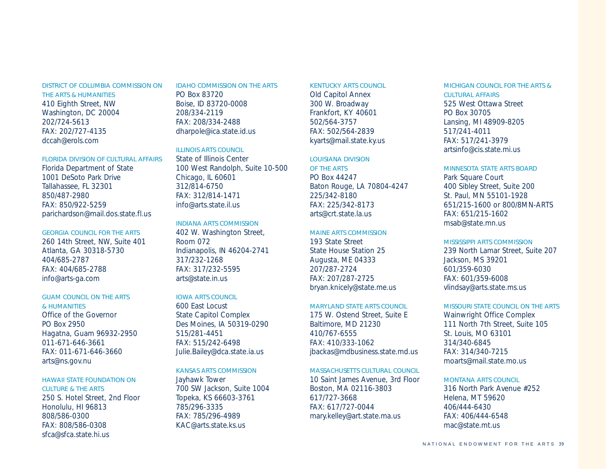# DISTRICT OF COLUMBIA COMMISSION ON

THE ARTS & HUMANITIES 410 Eighth Street, NW Washington, DC 20004 202/724-5613 FAX: 202/727-4135 dccah@erols.com

# FLORIDA DIVISION OF CULTURAL AFFAIRS

Florida Department of State 1001 DeSoto Park Drive Tallahassee, FL 32301 850/487-2980 FAX: 850/922-5259 parichardson@mail.dos.state.fl.us

# GEORGIA COUNCIL FOR THE ARTS

260 14th Street, NW, Suite 401 Atlanta, GA 30318-5730 404/685-2787 FAX: 404/685-2788 info@arts-ga.com

### GUAM COUNCIL ON THE ARTS & HUMANITIES

Office of the Governor PO Box 2950 Hagatna, Guam 96932-2950 011-671-646-3661 FAX: 011-671-646-3660 arts@ns.gov.nu

# HAWAII STATE FOUNDATION ON

CULTURE & THE ARTS 250 S. Hotel Street, 2nd Floor Honolulu, HI 96813 808/586-0300 FAX: 808/586-0308 sfca@sfca.state.hi.us

# IDAHO COMMISSION ON THE ARTS PO Box 83720

Boise, ID 83720-0008 208/334-2119 FAX: 208/334-2488 dharpole@ica.state.id.us

# ILLINOIS ARTS COUNCIL

State of Illinois Center 100 West Randolph, Suite 10-500 Chicago, IL 60601 312/814-6750 FAX: 312/814-1471 info@arts.state.il.us

# INDIANA ARTS COMMISSION

402 W. Washington Street, Room 072 Indianapolis, IN 46204-2741 317/232-1268 FAX: 317/232-5595 arts@state.in.us

# IOWA ARTS COUNCIL

600 East Locust State Capitol Complex Des Moines, IA 50319-0290 515/281-4451 FAX: 515/242-6498 Julie.Bailey@dca.state.ia.us

## KANSAS ARTS COMMISSION

Jayhawk Tower 700 SW Jackson, Suite 1004 Topeka, KS 66603-3761 785/296-3335 FAX: 785/296-4989 KAC@arts.state.ks.us

# KENTUCKY ARTS COUNCIL

Old Capitol Annex 300 W. Broadway Frankfort, KY 40601 502/564-3757 FAX: 502/564-2839 kyarts@mail.state.ky.us

# LOUISIANA DIVISION

OF THE ARTS PO Box 44247 Baton Rouge, LA 70804-4247 225/342-8180 FAX: 225/342-8173 arts@crt.state.la.us

# MAINE ARTS COMMISSION

193 State Street State House Station 25 Augusta, ME 04333 207/287-2724 FAX: 207/287-2725 bryan.knicely@state.me.us

# MARYLAND STATE ARTS COUNCIL

175 W. Ostend Street, Suite E Baltimore, MD 21230 410/767-6555 FAX: 410/333-1062 jbackas@mdbusiness.state.md.us

# MASSACHUSETTS CULTURAL COUNCIL

10 Saint James Avenue, 3rd Floor Boston, MA 02116-3803 617/727-3668 FAX: 617/727-0044 mary.kelley@art.state.ma.us

# MICHIGAN COUNCIL FOR THE ARTS & CULTURAL AFFAIRS 525 West Ottawa Street PO Box 30705 Lansing, MI 48909-8205 517/241-4011 FAX: 517/241-3979 artsinfo@cis.state.mi.us

# MINNESOTA STATE ARTS BOARD

Park Square Court 400 Sibley Street, Suite 200 St. Paul, MN 55101-1928 651/215-1600 or 800/8MN-ARTS FAX: 651/215-1602 msab@state.mn.us

## MISSISSIPPI ARTS COMMISSION

239 North Lamar Street, Suite 207 Jackson, MS 39201 601/359-6030 FAX: 601/359-6008 vlindsay@arts.state.ms.us

# MISSOURI STATE COUNCIL ON THE ARTS

Wainwright Office Complex 111 North 7th Street, Suite 105 St. Louis, MO 63101 314/340-6845 FAX: 314/340-7215 moarts@mail.state.mo.us

# MONTANA ARTS COUNCIL

316 North Park Avenue #252 Helena, MT 59620 406/444-6430 FAX: 406/444-6548 mac@state.mt.us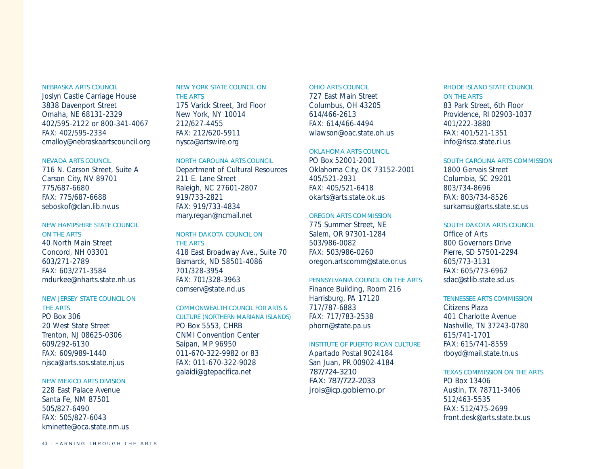### NEBRASKA ARTS COUNCIL

Joslyn Castle Carriage House 3838 Davenport Street Omaha, NE 68131-2329 402/595-2122 or 800-341-4067 FAX: 402/595-2334 cmalloy@nebraskaartscouncil.org

### NEVADA ARTS COUNCIL

716 N. Carson Street, Suite A Carson City, NV 89701 775/687-6680 FAX: 775/687-6688 seboskof@clan.lib.nv.us

# NEW HAMPSHIRE STATE COUNCIL

ON THE ARTS 40 North Main Street Concord, NH 03301 603/271-2789 FAX: 603/271-3584 mdurkee@nharts.state.nh.us

# NEW JERSEY STATE COUNCIL ON

# THE ARTS

PO Box 306 20 West State Street Trenton, NJ 08625-0306 609/292-6130 FAX: 609/989-1440 njsca@arts.sos.state.nj.us

### NEW MEXICO ARTS DIVISION

228 East Palace Avenue Santa Fe, NM 87501 505/827-6490 FAX: 505/827-6043 kminette@oca.state.nm.us

# NEW YORK STATE COUNCIL ON THE ARTS

175 Varick Street, 3rd Floor New York, NY 10014 212/627-4455 FAX: 212/620-5911 nysca@artswire.org

# NORTH CAROLINA ARTS COUNCIL

Department of Cultural Resources 211 E. Lane Street Raleigh, NC 27601-2807 919/733-2821 FAX: 919/733-4834 mary.regan@ncmail.net

### NORTH DAKOTA COUNCIL ON

THE ARTS 418 East Broadway Ave., Suite 70 Bismarck, ND 58501-4086 701/328-3954 FAX: 701/328-3963 comserv@state.nd.us

# COMMONWEALTH COUNCIL FOR ARTS &

CULTURE (NORTHERN MARIANA ISLANDS) PO Box 5553, CHRB CNMI Convention Center Saipan, MP 96950 011-670-322-9982 or 83 FAX: 011-670-322-9028 galaidi@gtepacifica.net

### OHIO ARTS COUNCIL

727 East Main Street Columbus, OH 43205 614/466-2613 FAX: 614/466-4494 wlawson@oac.state.oh.us

### OKLAHOMA ARTS COUNCIL

PO Box 52001-2001 Oklahoma City, OK 73152-2001 405/521-2931 FAX: 405/521-6418 okarts@arts.state.ok.us

# OREGON ARTS COMMISSION

775 Summer Street, NE Salem, OR 97301-1284 503/986-0082 FAX: 503/986-0260 oregon.artscomm@state.or.us

### PENNSYLVANIA COUNCIL ON THE ARTS

Finance Building, Room 216 Harrisburg, PA 17120 717/787-6883 FAX: 717/783-2538 phorn@state.pa.us

# INSTITUTE OF PUERTO RICAN CULTURE

Apartado Postal 9024184 San Juan, PR 00902-4184 787/724-3210 FAX: 787/722-2033 jrois@icp.gobierno.pr

# RHODE ISLAND STATE COUNCIL ON THE ARTS 83 Park Street, 6th Floor

Providence, RI 02903-1037 401/222-3880 FAX: 401/521-1351 info@risca.state.ri.us

### SOUTH CAROLINA ARTS COMMISSION

1800 Gervais Street Columbia, SC 29201 803/734-8696 FAX: 803/734-8526 surkamsu@arts.state.sc.us

### SOUTH DAKOTA ARTS COUNCIL

Office of Arts 800 Governors Drive Pierre, SD 57501-2294 605/773-3131 FAX: 605/773-6962 sdac@stlib.state.sd.us

### TENNESSEE ARTS COMMISSION

Citizens Plaza 401 Charlotte Avenue Nashville, TN 37243-0780 615/741-1701 FAX: 615/741-8559 rboyd@mail.state.tn.us

# TEXAS COMMISSION ON THE ARTS

PO Box 13406 Austin, TX 78711-3406 512/463-5535 FAX: 512/475-2699 front.desk@arts.state.tx.us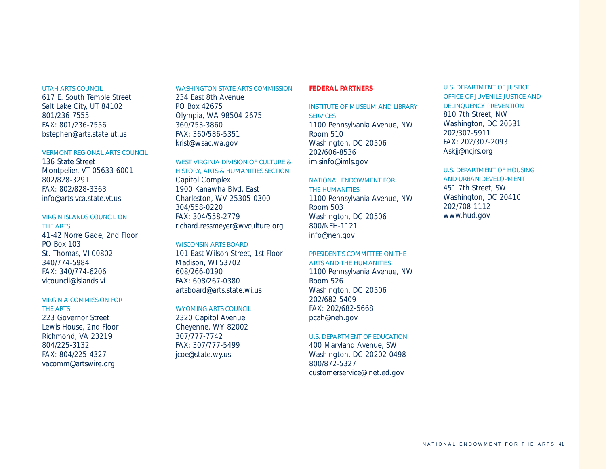# UTAH ARTS COUNCIL

617 E. South Temple Street Salt Lake City, UT 84102 801/236-7555 FAX: 801/236-7556 bstephen@arts.state.ut.us

### VERMONT REGIONAL ARTS COUNCIL

136 State Street Montpelier, VT 05633-6001 802/828-3291 FAX: 802/828-3363 info@arts.vca.state.vt.us

### VIRGIN ISLANDS COUNCIL ON

THE ARTS 41-42 Norre Gade, 2nd Floor PO Box 103 St. Thomas, VI 00802 340/774-5984 FAX: 340/774-6206 vicouncil@islands.vi

### VIRGINIA COMMISSION FOR

# THE ARTS

223 Governor Street Lewis House, 2nd Floor Richmond, VA 23219 804/225-3132 FAX: 804/225-4327 vacomm@artswire.org

# WASHINGTON STATE ARTS COMMISSION 234 East 8th Avenue PO Box 42675

Olympia, WA 98504-2675 360/753-3860 FAX: 360/586-5351 krist@wsac.wa.gov

WEST VIRGINIA DIVISION OF CULTURE & HISTORY, ARTS & HUMANITIES SECTION Capitol Complex 1900 Kanawha Blvd. East Charleston, WV 25305-0300 304/558-0220 FAX: 304/558-2779 richard.ressmeyer@wvculture.org

# WISCONSIN ARTS BOARD

101 East Wilson Street, 1st Floor Madison, WI 53702 608/266-0190 FAX: 608/267-0380 artsboard@arts.state.wi.us

# WYOMING ARTS COUNCIL

2320 Capitol Avenue Cheyenne, WY 82002 307/777-7742 FAX: 307/777-5499 jcoe@state.wy.us

# **FEDERAL PARTNERS**

# INSTITUTE OF MUSEUM AND LIBRARY **SERVICES** 1100 Pennsylvania Avenue, NW Room 510 Washington, DC 20506 202/606-8536

imlsinfo@imls.gov

# NATIONAL ENDOWMENT FOR

THE HUMANITIES 1100 Pennsylvania Avenue, NW Room 503 Washington, DC 20506 800/NEH-1121 info@neh.gov

# PRESIDENT'S COMMITTEE ON THE

ARTS AND THE HUMANITIES 1100 Pennsylvania Avenue, NW Room 526 Washington, DC 20506 202/682-5409 FAX: 202/682-5668 pcah@neh.gov

# U.S. DEPARTMENT OF EDUCATION

400 Maryland Avenue, SW Washington, DC 20202-0498 800/872-5327 customerservice@inet.ed.gov

# U.S. DEPARTMENT OF JUSTICE, OFFICE OF JUVENILE JUSTICE AND DELINQUENCY PREVENTION 810 7th Street, NW Washington, DC 20531 202/307-5911 FAX: 202/307-2093 Askjj@ncjrs.org

U.S. DEPARTMENT OF HOUSING AND URBAN DEVELOPMENT 451 7th Street, SW Washington, DC 20410 202/708-1112 www.hud.gov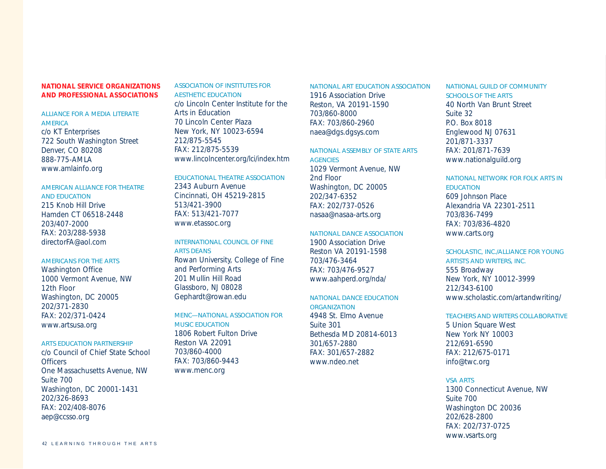# **NATIONAL SERVICE ORGANIZATIONS AND PROFESSIONAL ASSOCIATIONS**

# ALLIANCE FOR A MEDIA LITERATE AMERICA c/o KT Enterprises 722 South Washington Street Denver, CO 80208 888-775-AMLA www.amlainfo.org

# AMERICAN ALLIANCE FOR THEATRE AND EDUCATION

215 Knob Hill Drive Hamden CT 06518-2448 203/407-2000 FAX: 203/288-5938 directorFA@aol.com

# AMERICANS FOR THE ARTS

Washington Office 1000 Vermont Avenue, NW 12th Floor Washington, DC 20005 202/371-2830 FAX: 202/371-0424 www.artsusa.org

# ARTS EDUCATION PARTNERSHIP

c/o Council of Chief State School **Officers** One Massachusetts Avenue, NW Suite 700 Washington, DC 20001-1431 202/326-8693 FAX: 202/408-8076 aep@ccsso.org

# ASSOCIATION OF INSTITUTES FOR

AESTHETIC EDUCATION c/o Lincoln Center Institute for the Arts in Education 70 Lincoln Center Plaza New York, NY 10023-6594 212/875-5545 FAX: 212/875-5539 www.lincolncenter.org/lci/index.htm

# EDUCATIONAL THEATRE ASSOCIATION

2343 Auburn Avenue Cincinnati, OH 45219-2815 513/421-3900 FAX: 513/421-7077 www.etassoc.org

# INTERNATIONAL COUNCIL OF FINE ARTS DEANS

Rowan University, College of Fine and Performing Arts 201 Mullin Hill Road Glassboro, NJ 08028 Gephardt@rowan.edu

# MENC—NATIONAL ASSOCIATION FOR

MUSIC EDUCATION 1806 Robert Fulton Drive Reston VA 22091 703/860-4000 FAX: 703/860-9443 www.menc.org

# NATIONAL ART EDUCATION ASSOCIATION

1916 Association Drive Reston, VA 20191-1590 703/860-8000 FAX: 703/860-2960 naea@dgs.dgsys.com

# NATIONAL ASSEMBLY OF STATE ARTS

**AGENCIES** 1029 Vermont Avenue, NW 2nd Floor Washington, DC 20005 202/347-6352 FAX: 202/737-0526 nasaa@nasaa-arts.org

# NATIONAL DANCE ASSOCIATION

1900 Association Drive Reston VA 20191-1598 703/476-3464 FAX: 703/476-9527 www.aahperd.org/nda/

# NATIONAL DANCE EDUCATION

**ORGANIZATION** 4948 St. Elmo Avenue Suite 301 Bethesda MD 20814-6013 301/657-2880 FAX: 301/657-2882 www.ndeo.net

# NATIIONAL GUILD OF COMMUNITY

SCHOOLS OF THE ARTS 40 North Van Brunt Street Suite 32 P.O. Box 8018 Englewood NJ 07631 201/871-3337 FAX: 201/871-7639 www.nationalguild.org

# NATIONAL NETWORK FOR FOLK ARTS IN

EDUCATION 609 Johnson Place Alexandria VA 22301-2511 703/836-7499 FAX: 703/836-4820 www.carts.org

# SCHOLASTIC, INC./ALLIANCE FOR YOUNG ARTISTS AND WRITERS, INC.

555 Broadway New York, NY 10012-3999 212/343-6100 www.scholastic.com/artandwriting/

# TEACHERS AND WRITERS COLLABORATIVE

5 Union Square West New York NY 10003 212/691-6590 FAX: 212/675-0171 info@twc.org

# VSA ARTS

1300 Connecticut Avenue, NW Suite 700 Washington DC 20036 202/628-2800 FAX: 202/737-0725 www.vsarts.org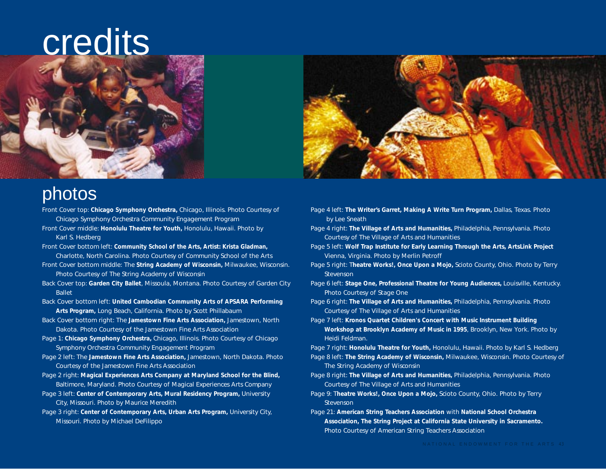# credits





- Front Cover top: **Chicago Symphony Orchestra,** Chicago, Illinois. *Photo Courtesy of Chicago Symphony Orchestra Community Engagement Program*
- Front Cover middle: **Honolulu Theatre for Youth,** Honolulu, Hawaii. *Photo by Karl S. Hedberg*
- Front Cover bottom left: **Community School of the Arts, Artist: Krista Gladman,**  Charlotte, North Carolina. *Photo Courtesy of Community School of the Arts*
- Front Cover bottom middle: The **String Academy of Wisconsin,** Milwaukee, Wisconsin. *Photo Courtesy of The String Academy of Wisconsin*
- Back Cover top: **Garden City Ballet**, Missoula, Montana. *Photo Courtesy of Garden City Ballet*
- Back Cover bottom left: **United Cambodian Community Arts of APSARA Performing Arts Program,** Long Beach, California. *Photo by Scott Phillabaum*
- Back Cover bottom right: The **Jamestown Fine Arts Association,** Jamestown, North Dakota. *Photo Courtesy of the Jamestown Fine Arts Association*
- Page 1: **Chicago Symphony Orchestra,** Chicago, Illinois. *Photo Courtesy of Chicago Symphony Orchestra Community Engagement Program*
- Page 2 left: The **Jamestown Fine Arts Association,** Jamestown, North Dakota. *Photo Courtesy of the Jamestown Fine Arts Association*
- Page 2 right: **Magical Experiences Arts Company at Maryland School for the Blind,**  Baltimore, Maryland. *Photo Courtesy of Magical Experiences Arts Company*
- Page 3 left: **Center of Contemporary Arts, Mural Residency Program,** University City, Missouri. *Photo by Maurice Meredith*
- Page 3 right: **Center of Contemporary Arts, Urban Arts Program,** University City, Missouri. *Photo by Michael DeFilippo*



- Page 4 left: **The Writer's Garret, Making A Write Turn Program,** Dallas, Texas. *Photo by Lee Sneath*
- Page 4 right: **The Village of Arts and Humanities,** Philadelphia, Pennsylvania. *Photo Courtesy of The Village of Arts and Humanities*
- Page 5 left: **Wolf Trap Institute for Early Learning Through the Arts, ArtsLink Project**  Vienna, Virginia. *Photo by Merlin Petroff*
- Page 5 right: T**heatre Works!, Once Upon a Mojo,** Scioto County, Ohio. *Photo by Terry Stevenson*
- Page 6 left: **Stage One, Professional Theatre for Young Audiences,** Louisville, Kentucky. *Photo Courtesy of Stage One*
- Page 6 right: **The Village of Arts and Humanities,** Philadelphia, Pennsylvania. *Photo Courtesy of The Village of Arts and Humanities*
- Page 7 left: **Kronos Quartet Children's Concert with Music Instrument Building Workshop at Brooklyn Academy of Music in 1995**, Brooklyn, New York. *Photo by Heidi Feldman.*

Page 7 right: **Honolulu Theatre for Youth,** Honolulu, Hawaii. *Photo by Karl S. Hedberg*

- Page 8 left: **The String Academy of Wisconsin,** Milwaukee, Wisconsin. *Photo Courtesy of The String Academy of Wisconsin*
- Page 8 right: **The Village of Arts and Humanities,** Philadelphia, Pennsylvania. *Photo Courtesy of The Village of Arts and Humanities*
- Page 9: T**heatre Works!, Once Upon a Mojo,** Scioto County, Ohio. *Photo by Terry Stevenson*
- Page 21: **American String Teachers Association** with **National School Orchestra Association, The String Project at California State University in Sacramento.** *Photo Courtesy of American String Teachers Association*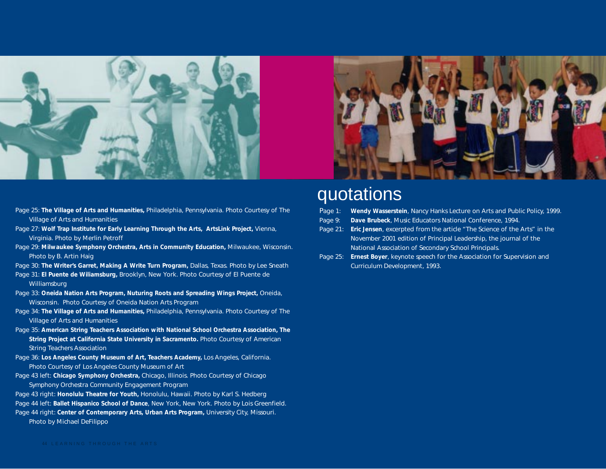

- Page 25: **The Village of Arts and Humanities,** Philadelphia, Pennsylvania. *Photo Courtesy of The Village of Arts and Humanities*
- Page 27: **Wolf Trap Institute for Early Learning Through the Arts, ArtsLink Project,** Vienna, Virginia. *Photo by Merlin Petroff*
- Page 29: **Milwaukee Symphony Orchestra, Arts in Community Education,** Milwaukee, Wisconsin. *Photo by B. Artin Haig*
- Page 30: **The Writer's Garret, Making A Write Turn Program,** Dallas, Texas. *Photo by Lee Sneath* Page 31: **El Puente de Wiliamsburg,** Brooklyn, New York. *Photo Courtesy of El Puente de Williamsburg*
- Page 33: **Oneida Nation Arts Program, Nuturing Roots and Spreading Wings Project,** Oneida, Wisconsin. *Photo Courtesy of Oneida Nation Arts Program*
- Page 34: **The Village of Arts and Humanities,** Philadelphia, Pennsylvania. *Photo Courtesy of The Village of Arts and Humanities*
- Page 35: **American String Teachers Association with National School Orchestra Association, The String Project at California State University in Sacramento.** *Photo Courtesy of American String Teachers Association*
- Page 36: **Los Angeles County Museum of Art, Teachers Academy,** Los Angeles, California. *Photo Courtesy of Los Angeles County Museum of Art*
- Page 43 left: **Chicago Symphony Orchestra,** Chicago, Illinois. *Photo Courtesy of Chicago Symphony Orchestra Community Engagement Program*

Page 43 right: **Honolulu Theatre for Youth,** Honolulu, Hawaii. *Photo by Karl S. Hedberg* Page 44 left: **Ballet Hispanico School of Dance**, New York, New York. *Photo by Lois Greenfield.* Page 44 right: **Center of Contemporary Arts, Urban Arts Program,** University City, Missouri. *Photo by Michael DeFilippo*



# quotations

- Page 1: **Wendy Wasserstein**, Nancy Hanks Lecture on Arts and Public Policy, 1999.
- Page 9: **Dave Brubeck**, Music Educators National Conference, 1994.
- Page 21: **Eric Jensen**, excerpted from the article "The Science of the Arts" in the November 2001 edition of *Principal Leadership*, the journal of the National Association of Secondary School Principals.
- Page 25: **Ernest Boyer**, keynote speech for the Association for Supervision and Curriculum Development, 1993.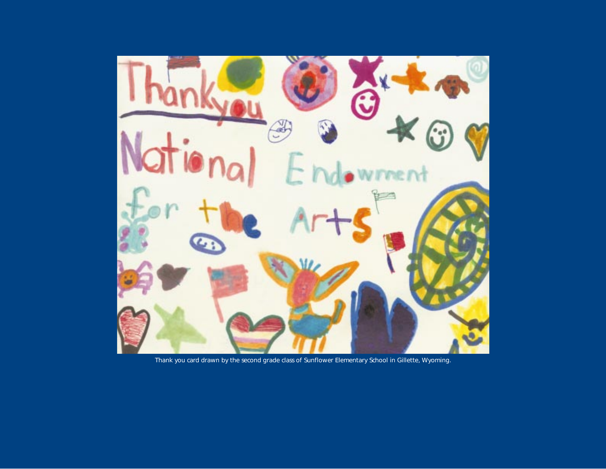

Thank you card drawn by the second grade class of Sunflower Elementary School in Gillette, Wyoming.